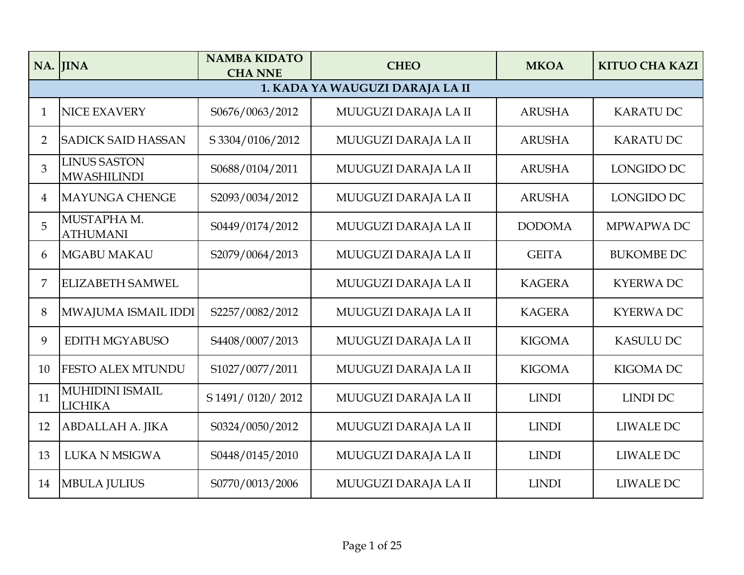|                | NA. JINA                                  | <b>NAMBA KIDATO</b><br><b>CHA NNE</b> | <b>CHEO</b>          | <b>MKOA</b>   | <b>KITUO CHA KAZI</b> |  |  |  |  |  |
|----------------|-------------------------------------------|---------------------------------------|----------------------|---------------|-----------------------|--|--|--|--|--|
|                | 1. KADA YA WAUGUZI DARAJA LA II           |                                       |                      |               |                       |  |  |  |  |  |
| $\mathbf{1}$   | <b>NICE EXAVERY</b>                       | S0676/0063/2012                       | MUUGUZI DARAJA LA II | <b>ARUSHA</b> | <b>KARATUDC</b>       |  |  |  |  |  |
| $\overline{2}$ | <b>SADICK SAID HASSAN</b>                 | S 3304/0106/2012                      | MUUGUZI DARAJA LA II | <b>ARUSHA</b> | <b>KARATU DC</b>      |  |  |  |  |  |
| 3              | <b>LINUS SASTON</b><br><b>MWASHILINDI</b> | S0688/0104/2011                       | MUUGUZI DARAJA LA II | <b>ARUSHA</b> | LONGIDO DC            |  |  |  |  |  |
| 4              | <b>MAYUNGA CHENGE</b>                     | S2093/0034/2012                       | MUUGUZI DARAJA LA II | <b>ARUSHA</b> | LONGIDO DC            |  |  |  |  |  |
| 5              | MUSTAPHA M.<br><b>ATHUMANI</b>            | S0449/0174/2012                       | MUUGUZI DARAJA LA II | <b>DODOMA</b> | MPWAPWA DC            |  |  |  |  |  |
| 6              | <b>MGABU MAKAU</b>                        | S2079/0064/2013                       | MUUGUZI DARAJA LA II | <b>GEITA</b>  | <b>BUKOMBE DC</b>     |  |  |  |  |  |
| 7              | <b>ELIZABETH SAMWEL</b>                   |                                       | MUUGUZI DARAJA LA II | <b>KAGERA</b> | <b>KYERWADC</b>       |  |  |  |  |  |
| 8              | MWAJUMA ISMAIL IDDI                       | S2257/0082/2012                       | MUUGUZI DARAJA LA II | <b>KAGERA</b> | <b>KYERWADC</b>       |  |  |  |  |  |
| 9              | EDITH MGYABUSO                            | S4408/0007/2013                       | MUUGUZI DARAJA LA II | <b>KIGOMA</b> | <b>KASULU DC</b>      |  |  |  |  |  |
| 10             | <b>FESTO ALEX MTUNDU</b>                  | S1027/0077/2011                       | MUUGUZI DARAJA LA II | <b>KIGOMA</b> | <b>KIGOMA DC</b>      |  |  |  |  |  |
| 11             | <b>MUHIDINI ISMAIL</b><br><b>LICHIKA</b>  | S 1491/0120/2012                      | MUUGUZI DARAJA LA II | <b>LINDI</b>  | <b>LINDI DC</b>       |  |  |  |  |  |
| 12             | <b>ABDALLAH A. JIKA</b>                   | S0324/0050/2012                       | MUUGUZI DARAJA LA II | <b>LINDI</b>  | LIWALE DC             |  |  |  |  |  |
| 13             | <b>LUKA N MSIGWA</b>                      | S0448/0145/2010                       | MUUGUZI DARAJA LA II | <b>LINDI</b>  | <b>LIWALE DC</b>      |  |  |  |  |  |
| 14             | <b>MBULA JULIUS</b>                       | S0770/0013/2006                       | MUUGUZI DARAJA LA II | <b>LINDI</b>  | <b>LIWALE DC</b>      |  |  |  |  |  |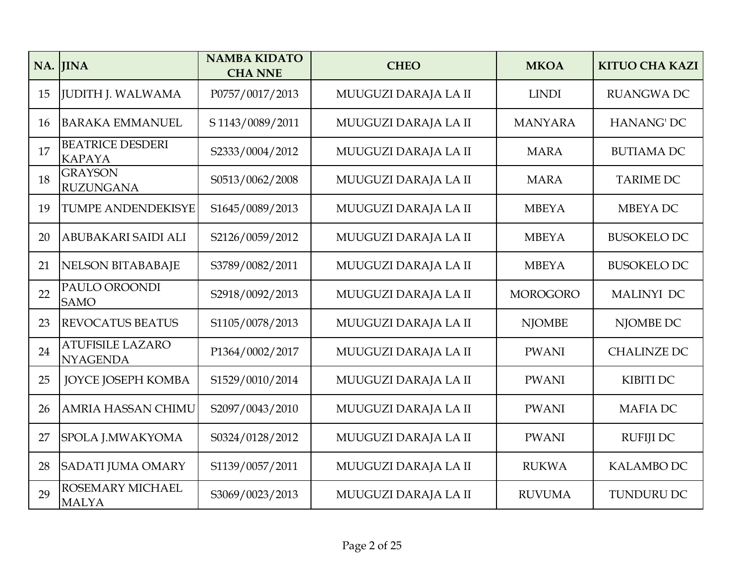| NA. | <b>JINA</b>                                | <b>NAMBA KIDATO</b><br><b>CHA NNE</b> | <b>CHEO</b>          | <b>MKOA</b>     | <b>KITUO CHA KAZI</b> |
|-----|--------------------------------------------|---------------------------------------|----------------------|-----------------|-----------------------|
| 15  | <b>JUDITH J. WALWAMA</b>                   | P0757/0017/2013                       | MUUGUZI DARAJA LA II | <b>LINDI</b>    | <b>RUANGWA DC</b>     |
| 16  | <b>BARAKA EMMANUEL</b>                     | S 1143/0089/2011                      | MUUGUZI DARAJA LA II | <b>MANYARA</b>  | <b>HANANG' DC</b>     |
| 17  | <b>BEATRICE DESDERI</b><br><b>KAPAYA</b>   | S2333/0004/2012                       | MUUGUZI DARAJA LA II | <b>MARA</b>     | <b>BUTIAMA DC</b>     |
| 18  | <b>GRAYSON</b><br><b>RUZUNGANA</b>         | S0513/0062/2008                       | MUUGUZI DARAJA LA II | <b>MARA</b>     | <b>TARIME DC</b>      |
| 19  | <b>TUMPE ANDENDEKISYE</b>                  | S1645/0089/2013                       | MUUGUZI DARAJA LA II | <b>MBEYA</b>    | <b>MBEYADC</b>        |
| 20  | ABUBAKARI SAIDI ALI                        | S2126/0059/2012                       | MUUGUZI DARAJA LA II | <b>MBEYA</b>    | <b>BUSOKELO DC</b>    |
| 21  | <b>NELSON BITABABAJE</b>                   | S3789/0082/2011                       | MUUGUZI DARAJA LA II | <b>MBEYA</b>    | <b>BUSOKELO DC</b>    |
| 22  | PAULO OROONDI<br><b>SAMO</b>               | S2918/0092/2013                       | MUUGUZI DARAJA LA II | <b>MOROGORO</b> | <b>MALINYI DC</b>     |
| 23  | <b>REVOCATUS BEATUS</b>                    | S1105/0078/2013                       | MUUGUZI DARAJA LA II | <b>NJOMBE</b>   | NJOMBE DC             |
| 24  | <b>ATUFISILE LAZARO</b><br><b>NYAGENDA</b> | P1364/0002/2017                       | MUUGUZI DARAJA LA II | <b>PWANI</b>    | <b>CHALINZE DC</b>    |
| 25  | <b>JOYCE JOSEPH KOMBA</b>                  | S1529/0010/2014                       | MUUGUZI DARAJA LA II | <b>PWANI</b>    | <b>KIBITI DC</b>      |
| 26  | <b>AMRIA HASSAN CHIMU</b>                  | S2097/0043/2010                       | MUUGUZI DARAJA LA II | <b>PWANI</b>    | <b>MAFIADC</b>        |
| 27  | SPOLA J.MWAKYOMA                           | S0324/0128/2012                       | MUUGUZI DARAJA LA II | <b>PWANI</b>    | <b>RUFIJI DC</b>      |
| 28  | <b>SADATI JUMA OMARY</b>                   | S1139/0057/2011                       | MUUGUZI DARAJA LA II | <b>RUKWA</b>    | <b>KALAMBO DC</b>     |
| 29  | ROSEMARY MICHAEL<br><b>MALYA</b>           | S3069/0023/2013                       | MUUGUZI DARAJA LA II | <b>RUVUMA</b>   | <b>TUNDURU DC</b>     |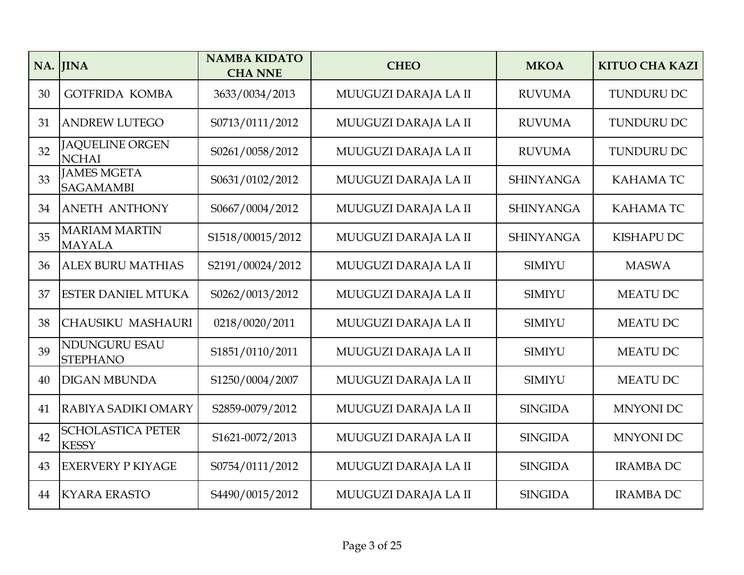|    | NA. JINA                                 | <b>NAMBA KIDATO</b><br><b>CHA NNE</b> | <b>CHEO</b>          | <b>MKOA</b>      | <b>KITUO CHA KAZI</b> |
|----|------------------------------------------|---------------------------------------|----------------------|------------------|-----------------------|
| 30 | <b>GOTFRIDA KOMBA</b>                    | 3633/0034/2013                        | MUUGUZI DARAJA LA II | <b>RUVUMA</b>    | TUNDURU DC            |
| 31 | <b>ANDREW LUTEGO</b>                     | S0713/0111/2012                       | MUUGUZI DARAJA LA II | <b>RUVUMA</b>    | <b>TUNDURU DC</b>     |
| 32 | <b>JAQUELINE ORGEN</b><br><b>NCHAI</b>   | S0261/0058/2012                       | MUUGUZI DARAJA LA II | <b>RUVUMA</b>    | TUNDURU DC            |
| 33 | <b>JAMES MGETA</b><br><b>SAGAMAMBI</b>   | S0631/0102/2012                       | MUUGUZI DARAJA LA II | <b>SHINYANGA</b> | <b>KAHAMATC</b>       |
| 34 | <b>ANETH ANTHONY</b>                     | S0667/0004/2012                       | MUUGUZI DARAJA LA II | <b>SHINYANGA</b> | <b>KAHAMATC</b>       |
| 35 | <b>MARIAM MARTIN</b><br><b>MAYALA</b>    | S1518/00015/2012                      | MUUGUZI DARAJA LA II | <b>SHINYANGA</b> | <b>KISHAPU DC</b>     |
| 36 | <b>ALEX BURU MATHIAS</b>                 | S2191/00024/2012                      | MUUGUZI DARAJA LA II | <b>SIMIYU</b>    | <b>MASWA</b>          |
| 37 | <b>ESTER DANIEL MTUKA</b>                | S0262/0013/2012                       | MUUGUZI DARAJA LA II | <b>SIMIYU</b>    | <b>MEATU DC</b>       |
| 38 | <b>CHAUSIKU MASHAURI</b>                 | 0218/0020/2011                        | MUUGUZI DARAJA LA II | <b>SIMIYU</b>    | <b>MEATU DC</b>       |
| 39 | NDUNGURU ESAU<br><b>STEPHANO</b>         | S1851/0110/2011                       | MUUGUZI DARAJA LA II | <b>SIMIYU</b>    | <b>MEATU DC</b>       |
| 40 | <b>DIGAN MBUNDA</b>                      | S1250/0004/2007                       | MUUGUZI DARAJA LA II | <b>SIMIYU</b>    | <b>MEATU DC</b>       |
| 41 | RABIYA SADIKI OMARY                      | S2859-0079/2012                       | MUUGUZI DARAJA LA II | <b>SINGIDA</b>   | <b>MNYONI DC</b>      |
| 42 | <b>SCHOLASTICA PETER</b><br><b>KESSY</b> | S1621-0072/2013                       | MUUGUZI DARAJA LA II | <b>SINGIDA</b>   | <b>MNYONI DC</b>      |
| 43 | <b>EXERVERY P KIYAGE</b>                 | S0754/0111/2012                       | MUUGUZI DARAJA LA II | <b>SINGIDA</b>   | <b>IRAMBA DC</b>      |
| 44 | <b>KYARA ERASTO</b>                      | S4490/0015/2012                       | MUUGUZI DARAJA LA II | <b>SINGIDA</b>   | <b>IRAMBA DC</b>      |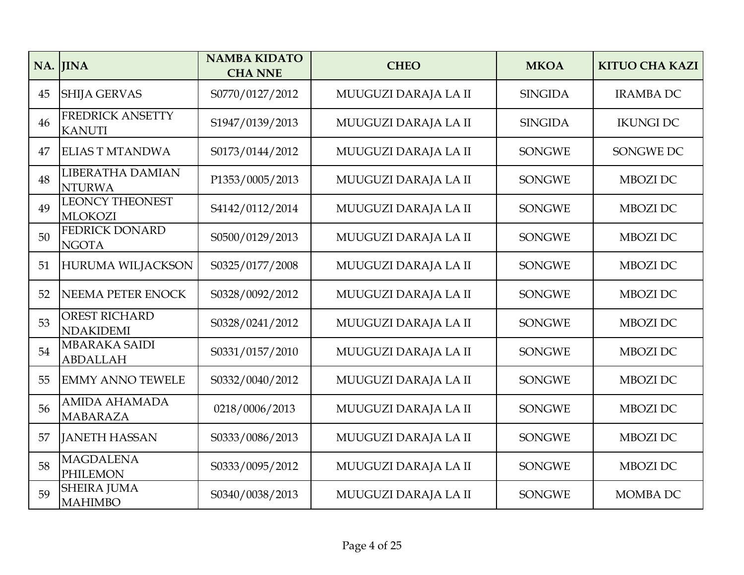| NA. | <b>JINA</b>                              | <b>NAMBA KIDATO</b><br><b>CHA NNE</b> | <b>CHEO</b>          | <b>MKOA</b>    | <b>KITUO CHA KAZI</b> |
|-----|------------------------------------------|---------------------------------------|----------------------|----------------|-----------------------|
| 45  | <b>SHIJA GERVAS</b>                      | S0770/0127/2012                       | MUUGUZI DARAJA LA II | <b>SINGIDA</b> | <b>IRAMBA DC</b>      |
| 46  | <b>FREDRICK ANSETTY</b><br><b>KANUTI</b> | S1947/0139/2013                       | MUUGUZI DARAJA LA II | <b>SINGIDA</b> | <b>IKUNGI DC</b>      |
| 47  | <b>ELIAS T MTANDWA</b>                   | S0173/0144/2012                       | MUUGUZI DARAJA LA II | <b>SONGWE</b>  | SONGWE DC             |
| 48  | LIBERATHA DAMIAN<br><b>NTURWA</b>        | P1353/0005/2013                       | MUUGUZI DARAJA LA II | <b>SONGWE</b>  | <b>MBOZI DC</b>       |
| 49  | <b>LEONCY THEONEST</b><br><b>MLOKOZI</b> | S4142/0112/2014                       | MUUGUZI DARAJA LA II | <b>SONGWE</b>  | <b>MBOZI DC</b>       |
| 50  | FEDRICK DONARD<br><b>NGOTA</b>           | S0500/0129/2013                       | MUUGUZI DARAJA LA II | <b>SONGWE</b>  | <b>MBOZI DC</b>       |
| 51  | <b>HURUMA WILJACKSON</b>                 | S0325/0177/2008                       | MUUGUZI DARAJA LA II | <b>SONGWE</b>  | <b>MBOZI DC</b>       |
| 52  | NEEMA PETER ENOCK                        | S0328/0092/2012                       | MUUGUZI DARAJA LA II | <b>SONGWE</b>  | <b>MBOZI DC</b>       |
| 53  | <b>OREST RICHARD</b><br><b>NDAKIDEMI</b> | S0328/0241/2012                       | MUUGUZI DARAJA LA II | <b>SONGWE</b>  | <b>MBOZI DC</b>       |
| 54  | <b>MBARAKA SAIDI</b><br><b>ABDALLAH</b>  | S0331/0157/2010                       | MUUGUZI DARAJA LA II | <b>SONGWE</b>  | <b>MBOZI DC</b>       |
| 55  | <b>EMMY ANNO TEWELE</b>                  | S0332/0040/2012                       | MUUGUZI DARAJA LA II | <b>SONGWE</b>  | MBOZI DC              |
| 56  | <b>AMIDA AHAMADA</b><br><b>MABARAZA</b>  | 0218/0006/2013                        | MUUGUZI DARAJA LA II | <b>SONGWE</b>  | <b>MBOZI DC</b>       |
| 57  | <b>JANETH HASSAN</b>                     | S0333/0086/2013                       | MUUGUZI DARAJA LA II | <b>SONGWE</b>  | <b>MBOZI DC</b>       |
| 58  | <b>MAGDALENA</b><br><b>PHILEMON</b>      | S0333/0095/2012                       | MUUGUZI DARAJA LA II | <b>SONGWE</b>  | <b>MBOZI DC</b>       |
| 59  | <b>SHEIRA JUMA</b><br><b>MAHIMBO</b>     | S0340/0038/2013                       | MUUGUZI DARAJA LA II | <b>SONGWE</b>  | <b>MOMBA DC</b>       |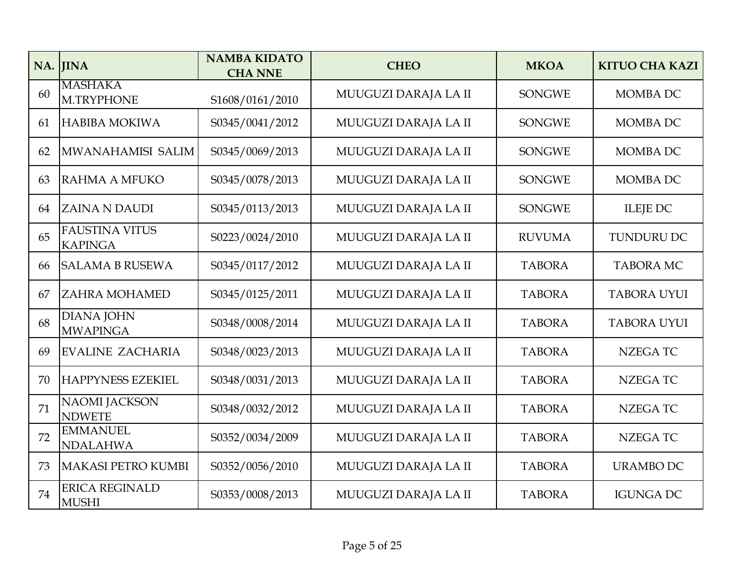| NA. | <b>IINA</b>                             | <b>NAMBA KIDATO</b><br><b>CHA NNE</b> | <b>CHEO</b>          | <b>MKOA</b>   | <b>KITUO CHA KAZI</b> |
|-----|-----------------------------------------|---------------------------------------|----------------------|---------------|-----------------------|
| 60  | <b>MASHAKA</b><br>M.TRYPHONE            | S1608/0161/2010                       | MUUGUZI DARAJA LA II | <b>SONGWE</b> | <b>MOMBA DC</b>       |
| 61  | <b>HABIBA MOKIWA</b>                    | S0345/0041/2012                       | MUUGUZI DARAJA LA II | <b>SONGWE</b> | <b>MOMBA DC</b>       |
| 62  | MWANAHAMISI SALIM                       | S0345/0069/2013                       | MUUGUZI DARAJA LA II | <b>SONGWE</b> | <b>MOMBA DC</b>       |
| 63  | <b>RAHMA A MFUKO</b>                    | S0345/0078/2013                       | MUUGUZI DARAJA LA II | <b>SONGWE</b> | <b>MOMBA DC</b>       |
| 64  | <b>ZAINA N DAUDI</b>                    | S0345/0113/2013                       | MUUGUZI DARAJA LA II | <b>SONGWE</b> | <b>ILEJE DC</b>       |
| 65  | <b>FAUSTINA VITUS</b><br><b>KAPINGA</b> | S0223/0024/2010                       | MUUGUZI DARAJA LA II | <b>RUVUMA</b> | <b>TUNDURU DC</b>     |
| 66  | <b>SALAMA B RUSEWA</b>                  | S0345/0117/2012                       | MUUGUZI DARAJA LA II | <b>TABORA</b> | <b>TABORA MC</b>      |
| 67  | <b>ZAHRA MOHAMED</b>                    | S0345/0125/2011                       | MUUGUZI DARAJA LA II | <b>TABORA</b> | <b>TABORA UYUI</b>    |
| 68  | <b>DIANA JOHN</b><br><b>MWAPINGA</b>    | S0348/0008/2014                       | MUUGUZI DARAJA LA II | <b>TABORA</b> | <b>TABORA UYUI</b>    |
| 69  | <b>EVALINE ZACHARIA</b>                 | S0348/0023/2013                       | MUUGUZI DARAJA LA II | <b>TABORA</b> | <b>NZEGATC</b>        |
| 70  | <b>HAPPYNESS EZEKIEL</b>                | S0348/0031/2013                       | MUUGUZI DARAJA LA II | <b>TABORA</b> | <b>NZEGATC</b>        |
| 71  | <b>NAOMI JACKSON</b><br><b>NDWETE</b>   | S0348/0032/2012                       | MUUGUZI DARAJA LA II | <b>TABORA</b> | <b>NZEGATC</b>        |
| 72  | <b>EMMANUEL</b><br><b>NDALAHWA</b>      | S0352/0034/2009                       | MUUGUZI DARAJA LA II | <b>TABORA</b> | <b>NZEGATC</b>        |
| 73  | MAKASI PETRO KUMBI                      | S0352/0056/2010                       | MUUGUZI DARAJA LA II | <b>TABORA</b> | <b>URAMBO DC</b>      |
| 74  | <b>ERICA REGINALD</b><br><b>MUSHI</b>   | S0353/0008/2013                       | MUUGUZI DARAJA LA II | <b>TABORA</b> | <b>IGUNGA DC</b>      |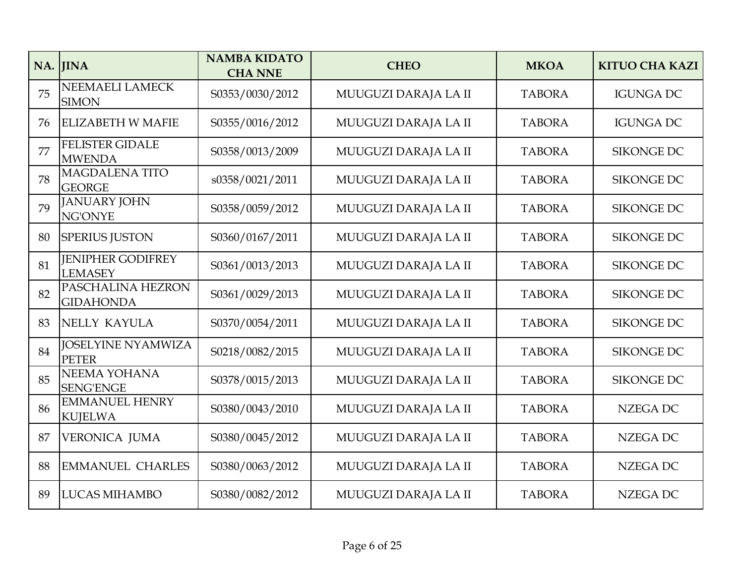| NA. | <b>IINA</b>                                | <b>NAMBA KIDATO</b><br><b>CHA NNE</b> | <b>CHEO</b>          | <b>MKOA</b>   | <b>KITUO CHA KAZI</b> |
|-----|--------------------------------------------|---------------------------------------|----------------------|---------------|-----------------------|
| 75  | NEEMAELI LAMECK<br><b>SIMON</b>            | S0353/0030/2012                       | MUUGUZI DARAJA LA II | <b>TABORA</b> | <b>IGUNGA DC</b>      |
| 76  | <b>ELIZABETH W MAFIE</b>                   | S0355/0016/2012                       | MUUGUZI DARAJA LA II | <b>TABORA</b> | <b>IGUNGA DC</b>      |
| 77  | <b>FELISTER GIDALE</b><br><b>MWENDA</b>    | S0358/0013/2009                       | MUUGUZI DARAJA LA II | <b>TABORA</b> | <b>SIKONGE DC</b>     |
| 78  | <b>MAGDALENA TITO</b><br><b>GEORGE</b>     | s0358/0021/2011                       | MUUGUZI DARAJA LA II | <b>TABORA</b> | <b>SIKONGE DC</b>     |
| 79  | <b>JANUARY JOHN</b><br><b>NG'ONYE</b>      | S0358/0059/2012                       | MUUGUZI DARAJA LA II | <b>TABORA</b> | <b>SIKONGE DC</b>     |
| 80  | <b>SPERIUS JUSTON</b>                      | S0360/0167/2011                       | MUUGUZI DARAJA LA II | <b>TABORA</b> | <b>SIKONGE DC</b>     |
| 81  | <b>IENIPHER GODIFREY</b><br><b>LEMASEY</b> | S0361/0013/2013                       | MUUGUZI DARAJA LA II | <b>TABORA</b> | <b>SIKONGE DC</b>     |
| 82  | PASCHALINA HEZRON<br><b>GIDAHONDA</b>      | S0361/0029/2013                       | MUUGUZI DARAJA LA II | <b>TABORA</b> | <b>SIKONGE DC</b>     |
| 83  | NELLY KAYULA                               | S0370/0054/2011                       | MUUGUZI DARAJA LA II | <b>TABORA</b> | <b>SIKONGE DC</b>     |
| 84  | <b>JOSELYINE NYAMWIZA</b><br><b>PETER</b>  | S0218/0082/2015                       | MUUGUZI DARAJA LA II | <b>TABORA</b> | <b>SIKONGE DC</b>     |
| 85  | NEEMA YOHANA<br><b>SENG'ENGE</b>           | S0378/0015/2013                       | MUUGUZI DARAJA LA II | <b>TABORA</b> | <b>SIKONGE DC</b>     |
| 86  | <b>EMMANUEL HENRY</b><br><b>KUJELWA</b>    | S0380/0043/2010                       | MUUGUZI DARAJA LA II | <b>TABORA</b> | <b>NZEGA DC</b>       |
| 87  | <b>VERONICA JUMA</b>                       | S0380/0045/2012                       | MUUGUZI DARAJA LA II | <b>TABORA</b> | <b>NZEGA DC</b>       |
| 88  | <b>EMMANUEL CHARLES</b>                    | S0380/0063/2012                       | MUUGUZI DARAJA LA II | <b>TABORA</b> | <b>NZEGA DC</b>       |
| 89  | <b>LUCAS MIHAMBO</b>                       | S0380/0082/2012                       | MUUGUZI DARAJA LA II | <b>TABORA</b> | <b>NZEGA DC</b>       |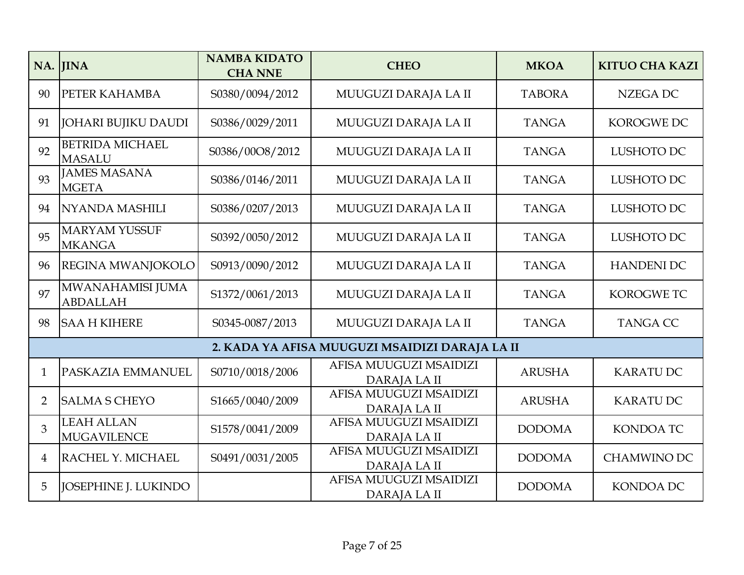|                | NA. JINA                                | <b>NAMBA KIDATO</b><br><b>CHA NNE</b> | <b>CHEO</b>                                    | <b>MKOA</b>   | <b>KITUO CHA KAZI</b> |
|----------------|-----------------------------------------|---------------------------------------|------------------------------------------------|---------------|-----------------------|
| 90             | PETER KAHAMBA                           | S0380/0094/2012                       | MUUGUZI DARAJA LA II                           | <b>TABORA</b> | <b>NZEGA DC</b>       |
| 91             | JOHARI BUJIKU DAUDI                     | S0386/0029/2011                       | MUUGUZI DARAJA LA II                           | <b>TANGA</b>  | <b>KOROGWE DC</b>     |
| 92             | <b>BETRIDA MICHAEL</b><br><b>MASALU</b> | S0386/00O8/2012                       | MUUGUZI DARAJA LA II                           | <b>TANGA</b>  | LUSHOTO DC            |
| 93             | <b>JAMES MASANA</b><br><b>MGETA</b>     | S0386/0146/2011                       | MUUGUZI DARAJA LA II                           | <b>TANGA</b>  | LUSHOTO DC            |
| 94             | <b>NYANDA MASHILI</b>                   | S0386/0207/2013                       | MUUGUZI DARAJA LA II                           | <b>TANGA</b>  | LUSHOTO DC            |
| 95             | <b>MARYAM YUSSUF</b><br><b>MKANGA</b>   | S0392/0050/2012                       | MUUGUZI DARAJA LA II                           | <b>TANGA</b>  | LUSHOTO DC            |
| 96             | REGINA MWANJOKOLO                       | S0913/0090/2012                       | MUUGUZI DARAJA LA II                           | <b>TANGA</b>  | <b>HANDENI DC</b>     |
| 97             | MWANAHAMISI JUMA<br><b>ABDALLAH</b>     | S1372/0061/2013                       | MUUGUZI DARAJA LA II                           | <b>TANGA</b>  | KOROGWE TC            |
| 98             | <b>SAA H KIHERE</b>                     | S0345-0087/2013                       | MUUGUZI DARAJA LA II                           | <b>TANGA</b>  | <b>TANGA CC</b>       |
|                |                                         |                                       | 2. KADA YA AFISA MUUGUZI MSAIDIZI DARAJA LA II |               |                       |
| $\mathbf{1}$   | PASKAZIA EMMANUEL                       | S0710/0018/2006                       | AFISA MUUGUZI MSAIDIZI<br>DARAJA LA II         | <b>ARUSHA</b> | <b>KARATUDC</b>       |
| $\overline{2}$ | <b>SALMA S CHEYO</b>                    | S1665/0040/2009                       | AFISA MUUGUZI MSAIDIZI<br>DARAJA LA II         | <b>ARUSHA</b> | <b>KARATU DC</b>      |
| $\overline{3}$ | <b>LEAH ALLAN</b><br><b>MUGAVILENCE</b> | S1578/0041/2009                       | AFISA MUUGUZI MSAIDIZI<br>DARAJA LA II         | <b>DODOMA</b> | <b>KONDOA TC</b>      |
| 4              | RACHEL Y. MICHAEL                       | S0491/0031/2005                       | AFISA MUUGUZI MSAIDIZI<br>DARAJA LA II         | <b>DODOMA</b> | <b>CHAMWINO DC</b>    |
| 5              | JOSEPHINE J. LUKINDO                    |                                       | AFISA MUUGUZI MSAIDIZI<br>DARAJA LA II         | <b>DODOMA</b> | <b>KONDOA DC</b>      |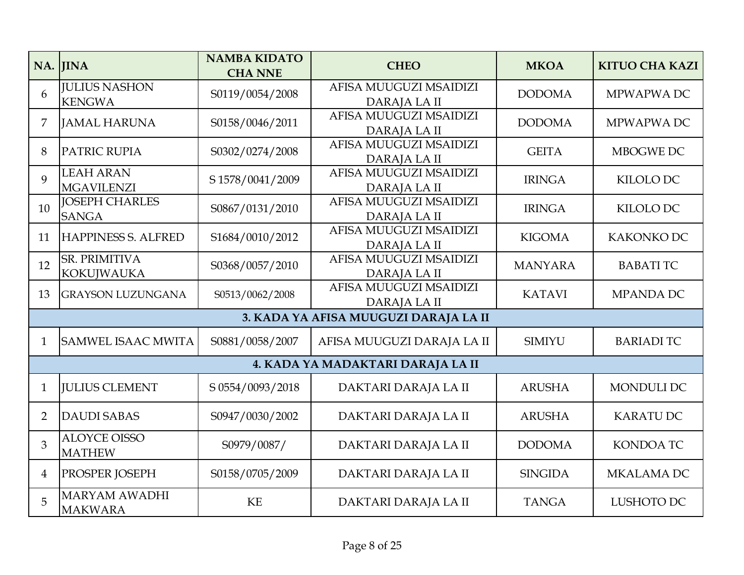|                | NA. JINA                               | <b>NAMBA KIDATO</b><br><b>CHA NNE</b> | <b>CHEO</b>                            | <b>MKOA</b>    | <b>KITUO CHA KAZI</b> |
|----------------|----------------------------------------|---------------------------------------|----------------------------------------|----------------|-----------------------|
| 6              | <b>IULIUS NASHON</b><br><b>KENGWA</b>  | S0119/0054/2008                       | AFISA MUUGUZI MSAIDIZI<br>DARAJA LA II | <b>DODOMA</b>  | MPWAPWA DC            |
| 7              | <b>JAMAL HARUNA</b>                    | S0158/0046/2011                       | AFISA MUUGUZI MSAIDIZI<br>DARAJA LA II | <b>DODOMA</b>  | MPWAPWA DC            |
| 8              | PATRIC RUPIA                           | S0302/0274/2008                       | AFISA MUUGUZI MSAIDIZI<br>DARAJA LA II | <b>GEITA</b>   | MBOGWE DC             |
| $\overline{Q}$ | <b>LEAH ARAN</b><br><b>MGAVILENZI</b>  | S 1578/0041/2009                      | AFISA MUUGUZI MSAIDIZI<br>DARAJA LA II | <b>IRINGA</b>  | KILOLO DC             |
| 10             | <b>JOSEPH CHARLES</b><br><b>SANGA</b>  | S0867/0131/2010                       | AFISA MUUGUZI MSAIDIZI<br>DARAJA LA II | <b>IRINGA</b>  | KILOLO DC             |
| 11             | <b>HAPPINESS S. ALFRED</b>             | S1684/0010/2012                       | AFISA MUUGUZI MSAIDIZI<br>DARAJA LA II | <b>KIGOMA</b>  | KAKONKO DC            |
| 12             | SR. PRIMITIVA<br><b>KOKUJWAUKA</b>     | S0368/0057/2010                       | AFISA MUUGUZI MSAIDIZI<br>DARAJA LA II | <b>MANYARA</b> | <b>BABATI TC</b>      |
| 13             | <b>GRAYSON LUZUNGANA</b>               | S0513/0062/2008                       | AFISA MUUGUZI MSAIDIZI<br>DARAJA LA II | <b>KATAVI</b>  | <b>MPANDA DC</b>      |
|                |                                        |                                       | 3. KADA YA AFISA MUUGUZI DARAJA LA II  |                |                       |
| $\mathbf{1}$   | <b>SAMWEL ISAAC MWITA</b>              | S0881/0058/2007                       | AFISA MUUGUZI DARAJA LA II             | <b>SIMIYU</b>  | <b>BARIADI TC</b>     |
|                |                                        |                                       | 4. KADA YA MADAKTARI DARAJA LA II      |                |                       |
| $\mathbf{1}$   | <b>JULIUS CLEMENT</b>                  | S 0554/0093/2018                      | DAKTARI DARAJA LA II                   | <b>ARUSHA</b>  | MONDULI DC            |
| $\overline{2}$ | <b>DAUDI SABAS</b>                     | S0947/0030/2002                       | DAKTARI DARAJA LA II                   | <b>ARUSHA</b>  | <b>KARATUDC</b>       |
| 3              | <b>ALOYCE OISSO</b><br><b>MATHEW</b>   | S0979/0087/                           | DAKTARI DARAJA LA II                   | <b>DODOMA</b>  | <b>KONDOA TC</b>      |
| $\overline{4}$ | <b>PROSPER JOSEPH</b>                  | S0158/0705/2009                       | DAKTARI DARAJA LA II                   | <b>SINGIDA</b> | MKALAMA DC            |
| 5              | <b>MARYAM AWADHI</b><br><b>MAKWARA</b> | <b>KE</b>                             | DAKTARI DARAJA LA II                   | <b>TANGA</b>   | LUSHOTO DC            |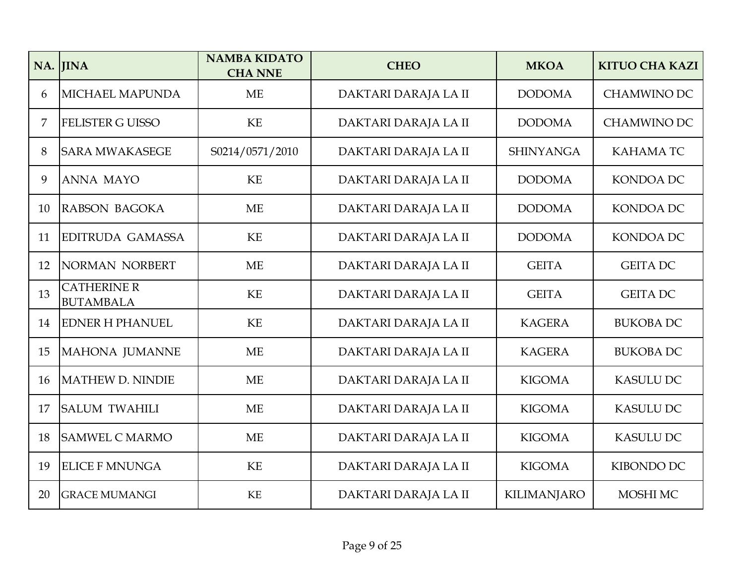|    | NA. JINA                               | <b>NAMBA KIDATO</b><br><b>CHA NNE</b> | <b>CHEO</b>          | <b>MKOA</b>        | <b>KITUO CHA KAZI</b> |
|----|----------------------------------------|---------------------------------------|----------------------|--------------------|-----------------------|
| 6  | <b>MICHAEL MAPUNDA</b>                 | <b>ME</b>                             | DAKTARI DARAJA LA II | <b>DODOMA</b>      | <b>CHAMWINO DC</b>    |
| 7  | <b>FELISTER G UISSO</b>                | KE                                    | DAKTARI DARAJA LA II | <b>DODOMA</b>      | <b>CHAMWINO DC</b>    |
| 8  | <b>SARA MWAKASEGE</b>                  | S0214/0571/2010                       | DAKTARI DARAJA LA II | <b>SHINYANGA</b>   | <b>KAHAMATC</b>       |
| 9  | <b>ANNA MAYO</b>                       | KE                                    | DAKTARI DARAJA LA II | <b>DODOMA</b>      | <b>KONDOA DC</b>      |
| 10 | RABSON BAGOKA                          | <b>ME</b>                             | DAKTARI DARAJA LA II | <b>DODOMA</b>      | <b>KONDOA DC</b>      |
| 11 | <b>EDITRUDA GAMASSA</b>                | <b>KE</b>                             | DAKTARI DARAJA LA II | <b>DODOMA</b>      | KONDOA DC             |
| 12 | NORMAN NORBERT                         | <b>ME</b>                             | DAKTARI DARAJA LA II | <b>GEITA</b>       | <b>GEITA DC</b>       |
| 13 | <b>CATHERINE R</b><br><b>BUTAMBALA</b> | <b>KE</b>                             | DAKTARI DARAJA LA II | <b>GEITA</b>       | <b>GEITA DC</b>       |
| 14 | <b>EDNER H PHANUEL</b>                 | KE                                    | DAKTARI DARAJA LA II | <b>KAGERA</b>      | <b>BUKOBA DC</b>      |
| 15 | MAHONA JUMANNE                         | <b>ME</b>                             | DAKTARI DARAJA LA II | <b>KAGERA</b>      | <b>BUKOBA DC</b>      |
| 16 | MATHEW D. NINDIE                       | <b>ME</b>                             | DAKTARI DARAJA LA II | <b>KIGOMA</b>      | <b>KASULU DC</b>      |
| 17 | <b>SALUM TWAHILI</b>                   | <b>ME</b>                             | DAKTARI DARAJA LA II | <b>KIGOMA</b>      | <b>KASULU DC</b>      |
| 18 | <b>SAMWEL C MARMO</b>                  | <b>ME</b>                             | DAKTARI DARAJA LA II | <b>KIGOMA</b>      | <b>KASULU DC</b>      |
| 19 | <b>ELICE F MNUNGA</b>                  | KE                                    | DAKTARI DARAJA LA II | <b>KIGOMA</b>      | KIBONDO DC            |
| 20 | <b>GRACE MUMANGI</b>                   | KE                                    | DAKTARI DARAJA LA II | <b>KILIMANJARO</b> | MOSHI MC              |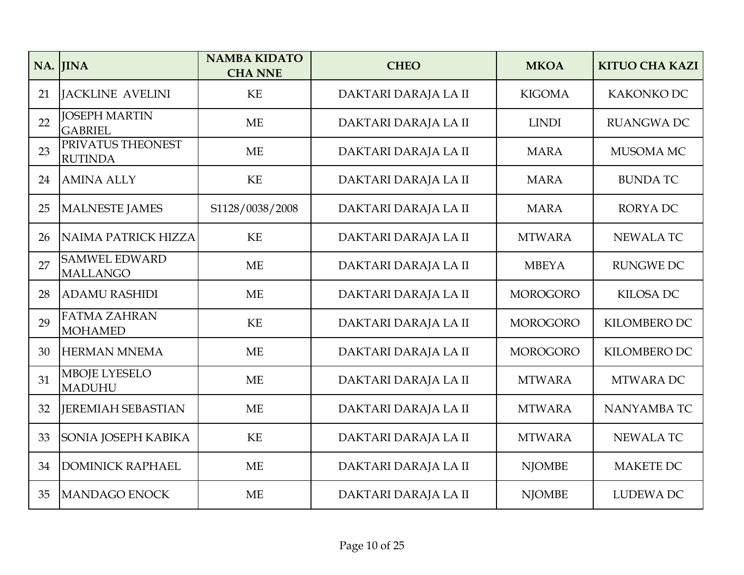|    | NA. JINA                                | <b>NAMBA KIDATO</b><br><b>CHA NNE</b> | <b>CHEO</b>          | <b>MKOA</b>     | <b>KITUO CHA KAZI</b> |
|----|-----------------------------------------|---------------------------------------|----------------------|-----------------|-----------------------|
| 21 | <b>JACKLINE AVELINI</b>                 | <b>KE</b>                             | DAKTARI DARAJA LA II | <b>KIGOMA</b>   | KAKONKO DC            |
| 22 | <b>JOSEPH MARTIN</b><br><b>GABRIEL</b>  | <b>ME</b>                             | DAKTARI DARAJA LA II | <b>LINDI</b>    | <b>RUANGWA DC</b>     |
| 23 | PRIVATUS THEONEST<br><b>RUTINDA</b>     | <b>ME</b>                             | DAKTARI DARAJA LA II | <b>MARA</b>     | MUSOMA MC             |
| 24 | <b>AMINA ALLY</b>                       | <b>KE</b>                             | DAKTARI DARAJA LA II | <b>MARA</b>     | <b>BUNDATC</b>        |
| 25 | MALNESTE JAMES                          | S1128/0038/2008                       | DAKTARI DARAJA LA II | <b>MARA</b>     | <b>RORYADC</b>        |
| 26 | NAIMA PATRICK HIZZA                     | KE                                    | DAKTARI DARAJA LA II | <b>MTWARA</b>   | <b>NEWALA TC</b>      |
| 27 | <b>SAMWEL EDWARD</b><br><b>MALLANGO</b> | <b>ME</b>                             | DAKTARI DARAJA LA II | <b>MBEYA</b>    | <b>RUNGWE DC</b>      |
| 28 | <b>ADAMU RASHIDI</b>                    | <b>ME</b>                             | DAKTARI DARAJA LA II | <b>MOROGORO</b> | <b>KILOSA DC</b>      |
| 29 | <b>FATMA ZAHRAN</b><br>MOHAMED          | KE                                    | DAKTARI DARAJA LA II | <b>MOROGORO</b> | KILOMBERO DC          |
| 30 | <b>HERMAN MNEMA</b>                     | <b>ME</b>                             | DAKTARI DARAJA LA II | <b>MOROGORO</b> | KILOMBERO DC          |
| 31 | <b>MBOJE LYESELO</b><br><b>MADUHU</b>   | <b>ME</b>                             | DAKTARI DARAJA LA II | <b>MTWARA</b>   | MTWARA DC             |
| 32 | <b>JEREMIAH SEBASTIAN</b>               | ME                                    | DAKTARI DARAJA LA II | <b>MTWARA</b>   | NANYAMBA TC           |
| 33 | SONIA JOSEPH KABIKA                     | KE                                    | DAKTARI DARAJA LA II | <b>MTWARA</b>   | <b>NEWALA TC</b>      |
| 34 | <b>DOMINICK RAPHAEL</b>                 | <b>ME</b>                             | DAKTARI DARAJA LA II | <b>NJOMBE</b>   | <b>MAKETE DC</b>      |
| 35 | MANDAGO ENOCK                           | <b>ME</b>                             | DAKTARI DARAJA LA II | <b>NJOMBE</b>   | <b>LUDEWA DC</b>      |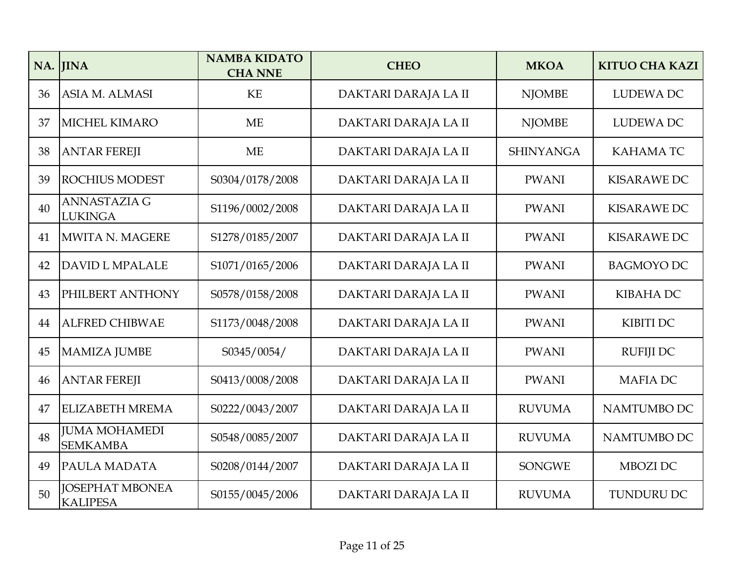|    | NA. JINA                                  | <b>NAMBA KIDATO</b><br><b>CHA NNE</b> | <b>CHEO</b>          | <b>MKOA</b>      | <b>KITUO CHA KAZI</b> |
|----|-------------------------------------------|---------------------------------------|----------------------|------------------|-----------------------|
| 36 | ASIA M. ALMASI                            | <b>KE</b>                             | DAKTARI DARAJA LA II | <b>NJOMBE</b>    | <b>LUDEWA DC</b>      |
| 37 | <b>MICHEL KIMARO</b>                      | <b>ME</b>                             | DAKTARI DARAJA LA II | <b>NJOMBE</b>    | <b>LUDEWA DC</b>      |
| 38 | <b>ANTAR FEREJI</b>                       | <b>ME</b>                             | DAKTARI DARAJA LA II | <b>SHINYANGA</b> | <b>KAHAMATC</b>       |
| 39 | <b>ROCHIUS MODEST</b>                     | S0304/0178/2008                       | DAKTARI DARAJA LA II | <b>PWANI</b>     | <b>KISARAWE DC</b>    |
| 40 | <b>ANNASTAZIA G</b><br><b>LUKINGA</b>     | S1196/0002/2008                       | DAKTARI DARAJA LA II | <b>PWANI</b>     | <b>KISARAWE DC</b>    |
| 41 | MWITA N. MAGERE                           | S1278/0185/2007                       | DAKTARI DARAJA LA II | <b>PWANI</b>     | <b>KISARAWE DC</b>    |
| 42 | <b>DAVID L MPALALE</b>                    | S1071/0165/2006                       | DAKTARI DARAJA LA II | <b>PWANI</b>     | <b>BAGMOYO DC</b>     |
| 43 | PHILBERT ANTHONY                          | S0578/0158/2008                       | DAKTARI DARAJA LA II | <b>PWANI</b>     | <b>KIBAHA DC</b>      |
| 44 | <b>ALFRED CHIBWAE</b>                     | S1173/0048/2008                       | DAKTARI DARAJA LA II | <b>PWANI</b>     | <b>KIBITI DC</b>      |
| 45 | MAMIZA JUMBE                              | S0345/0054/                           | DAKTARI DARAJA LA II | <b>PWANI</b>     | <b>RUFIJI DC</b>      |
| 46 | <b>ANTAR FEREJI</b>                       | S0413/0008/2008                       | DAKTARI DARAJA LA II | <b>PWANI</b>     | <b>MAFIADC</b>        |
| 47 | <b>ELIZABETH MREMA</b>                    | S0222/0043/2007                       | DAKTARI DARAJA LA II | <b>RUVUMA</b>    | NAMTUMBO DC           |
| 48 | <b>JUMA MOHAMEDI</b><br><b>SEMKAMBA</b>   | S0548/0085/2007                       | DAKTARI DARAJA LA II | <b>RUVUMA</b>    | NAMTUMBO DC           |
| 49 | <b>PAULA MADATA</b>                       | S0208/0144/2007                       | DAKTARI DARAJA LA II | <b>SONGWE</b>    | MBOZI DC              |
| 50 | <b>JOSEPHAT MBONEA</b><br><b>KALIPESA</b> | S0155/0045/2006                       | DAKTARI DARAJA LA II | <b>RUVUMA</b>    | TUNDURU DC            |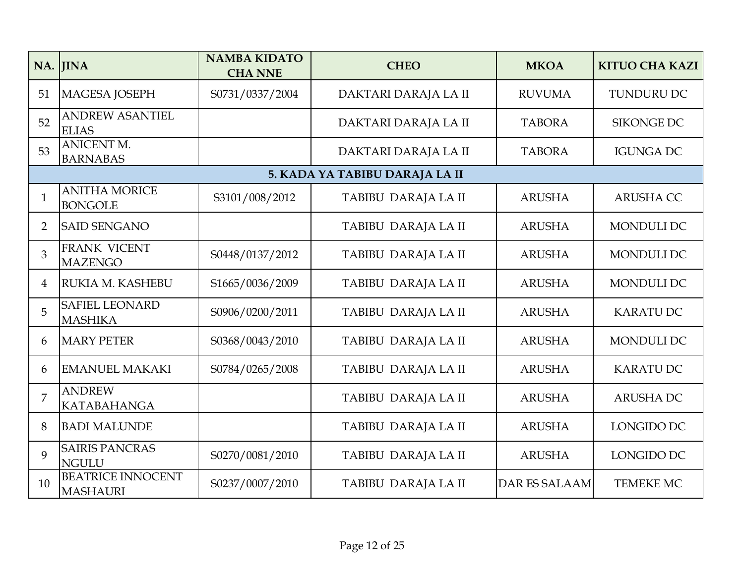|                | NA. JINA                                    | <b>NAMBA KIDATO</b><br><b>CHA NNE</b> | <b>CHEO</b>                    | <b>MKOA</b>          | <b>KITUO CHA KAZI</b> |
|----------------|---------------------------------------------|---------------------------------------|--------------------------------|----------------------|-----------------------|
| 51             | MAGESA JOSEPH                               | S0731/0337/2004                       | DAKTARI DARAJA LA II           | <b>RUVUMA</b>        | <b>TUNDURU DC</b>     |
| 52             | <b>ANDREW ASANTIEL</b><br><b>ELIAS</b>      |                                       | DAKTARI DARAJA LA II           | <b>TABORA</b>        | <b>SIKONGE DC</b>     |
| 53             | <b>ANICENT M.</b><br><b>BARNABAS</b>        |                                       | DAKTARI DARAJA LA II           | <b>TABORA</b>        | <b>IGUNGA DC</b>      |
|                |                                             |                                       | 5. KADA YA TABIBU DARAJA LA II |                      |                       |
| $\mathbf{1}$   | <b>ANITHA MORICE</b><br><b>BONGOLE</b>      | S3101/008/2012                        | TABIBU DARAJA LA II            | <b>ARUSHA</b>        | <b>ARUSHA CC</b>      |
| $\overline{2}$ | <b>SAID SENGANO</b>                         |                                       | TABIBU DARAJA LA II            | <b>ARUSHA</b>        | MONDULI DC            |
| 3              | FRANK VICENT<br><b>MAZENGO</b>              | S0448/0137/2012                       | TABIBU DARAJA LA II            | <b>ARUSHA</b>        | <b>MONDULI DC</b>     |
| 4              | RUKIA M. KASHEBU                            | S1665/0036/2009                       | TABIBU DARAJA LA II            | <b>ARUSHA</b>        | <b>MONDULI DC</b>     |
| 5              | <b>SAFIEL LEONARD</b><br><b>MASHIKA</b>     | S0906/0200/2011                       | TABIBU DARAJA LA II            | <b>ARUSHA</b>        | <b>KARATU DC</b>      |
| 6              | <b>MARY PETER</b>                           | S0368/0043/2010                       | TABIBU DARAJA LA II            | <b>ARUSHA</b>        | <b>MONDULI DC</b>     |
| 6              | <b>EMANUEL MAKAKI</b>                       | S0784/0265/2008                       | TABIBU DARAJA LA II            | <b>ARUSHA</b>        | <b>KARATU DC</b>      |
| 7              | <b>ANDREW</b><br><b>KATABAHANGA</b>         |                                       | TABIBU DARAJA LA II            | <b>ARUSHA</b>        | <b>ARUSHADC</b>       |
| 8              | <b>BADI MALUNDE</b>                         |                                       | TABIBU DARAJA LA II            | <b>ARUSHA</b>        | LONGIDO DC            |
| 9              | <b>SAIRIS PANCRAS</b><br><b>NGULU</b>       | S0270/0081/2010                       | TABIBU DARAJA LA II            | <b>ARUSHA</b>        | LONGIDO DC            |
| 10             | <b>BEATRICE INNOCENT</b><br><b>MASHAURI</b> | S0237/0007/2010                       | TABIBU DARAJA LA II            | <b>DAR ES SALAAM</b> | TEMEKE MC             |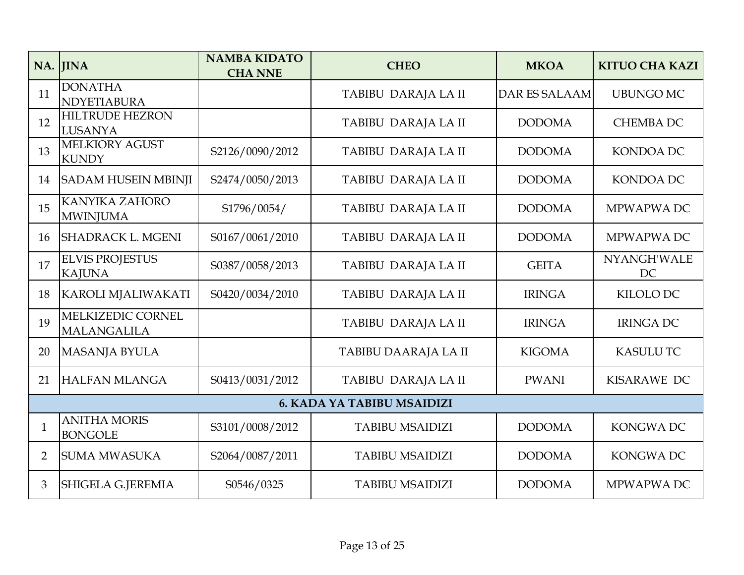|                | NA. JINA                                 | <b>NAMBA KIDATO</b><br><b>CHA NNE</b> | <b>CHEO</b>                       | <b>MKOA</b>          | <b>KITUO CHA KAZI</b> |
|----------------|------------------------------------------|---------------------------------------|-----------------------------------|----------------------|-----------------------|
| 11             | <b>DONATHA</b><br>NDYETIABURA            |                                       | TABIBU DARAJA LA II               | <b>DAR ES SALAAM</b> | <b>UBUNGO MC</b>      |
| 12             | <b>HILTRUDE HEZRON</b><br>LUSANYA        |                                       | TABIBU DARAJA LA II               | <b>DODOMA</b>        | <b>CHEMBA DC</b>      |
| 13             | <b>MELKIORY AGUST</b><br><b>KUNDY</b>    | S2126/0090/2012                       | TABIBU DARAJA LA II               | <b>DODOMA</b>        | <b>KONDOA DC</b>      |
| 14             | <b>SADAM HUSEIN MBINJI</b>               | S2474/0050/2013                       | TABIBU DARAJA LA II               | <b>DODOMA</b>        | <b>KONDOA DC</b>      |
| 15             | <b>KANYIKA ZAHORO</b><br><b>MWINJUMA</b> | S1796/0054/                           | TABIBU DARAJA LA II               | <b>DODOMA</b>        | MPWAPWA DC            |
| 16             | <b>SHADRACK L. MGENI</b>                 | S0167/0061/2010                       | TABIBU DARAJA LA II               | <b>DODOMA</b>        | MPWAPWA DC            |
| 17             | <b>ELVIS PROJESTUS</b><br><b>KAJUNA</b>  | S0387/0058/2013                       | TABIBU DARAJA LA II               | <b>GEITA</b>         | NYANGH'WALE<br>DC     |
| 18             | KAROLI MJALIWAKATI                       | S0420/0034/2010                       | TABIBU DARAJA LA II               | <b>IRINGA</b>        | KILOLO DC             |
| 19             | MELKIZEDIC CORNEL<br><b>MALANGALILA</b>  |                                       | TABIBU DARAJA LA II               | <b>IRINGA</b>        | <b>IRINGA DC</b>      |
| 20             | MASANJA BYULA                            |                                       | TABIBU DAARAJA LA II              | <b>KIGOMA</b>        | <b>KASULU TC</b>      |
| 21             | <b>HALFAN MLANGA</b>                     | S0413/0031/2012                       | TABIBU DARAJA LA II               | <b>PWANI</b>         | KISARAWE DC           |
|                |                                          |                                       | <b>6. KADA YA TABIBU MSAIDIZI</b> |                      |                       |
| $\mathbf{1}$   | <b>ANITHA MORIS</b><br><b>BONGOLE</b>    | S3101/0008/2012                       | <b>TABIBU MSAIDIZI</b>            | <b>DODOMA</b>        | <b>KONGWADC</b>       |
| $\overline{2}$ | <b>SUMA MWASUKA</b>                      | S2064/0087/2011                       | <b>TABIBU MSAIDIZI</b>            | <b>DODOMA</b>        | <b>KONGWADC</b>       |
| 3              | <b>SHIGELA G.JEREMIA</b>                 | S0546/0325                            | <b>TABIBU MSAIDIZI</b>            | <b>DODOMA</b>        | MPWAPWA DC            |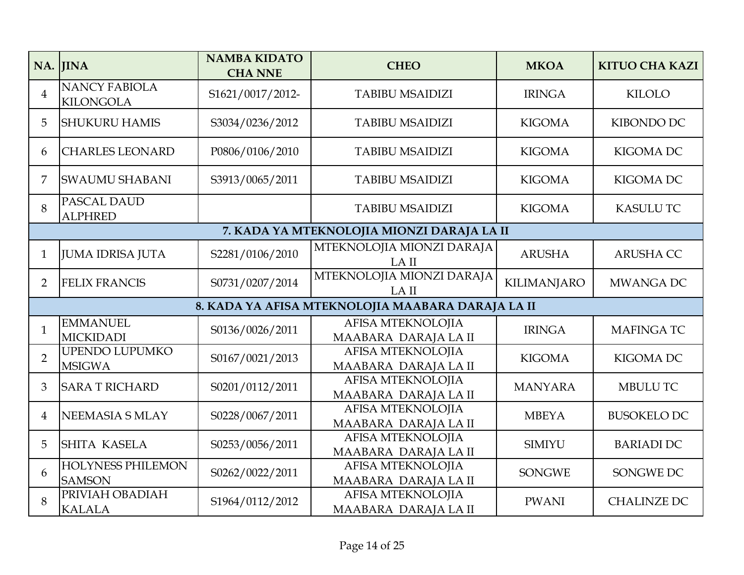|                | NA. JINA                                  | <b>NAMBA KIDATO</b><br><b>CHA NNE</b> | <b>CHEO</b>                                       | <b>MKOA</b>        | <b>KITUO CHA KAZI</b> |
|----------------|-------------------------------------------|---------------------------------------|---------------------------------------------------|--------------------|-----------------------|
| $\overline{4}$ | <b>NANCY FABIOLA</b><br><b>KILONGOLA</b>  | S1621/0017/2012-                      | <b>TABIBU MSAIDIZI</b>                            | <b>IRINGA</b>      | <b>KILOLO</b>         |
| 5              | <b>SHUKURU HAMIS</b>                      | S3034/0236/2012                       | <b>TABIBU MSAIDIZI</b>                            | <b>KIGOMA</b>      | <b>KIBONDO DC</b>     |
| 6              | <b>CHARLES LEONARD</b>                    | P0806/0106/2010                       | <b>TABIBU MSAIDIZI</b>                            | <b>KIGOMA</b>      | <b>KIGOMA DC</b>      |
| 7              | <b>SWAUMU SHABANI</b>                     | S3913/0065/2011                       | <b>TABIBU MSAIDIZI</b>                            | <b>KIGOMA</b>      | <b>KIGOMA DC</b>      |
| 8              | PASCAL DAUD<br><b>ALPHRED</b>             |                                       | <b>TABIBU MSAIDIZI</b>                            | <b>KIGOMA</b>      | <b>KASULU TC</b>      |
|                |                                           |                                       | 7. KADA YA MTEKNOLOJIA MIONZI DARAJA LA II        |                    |                       |
| $\mathbf{1}$   | <b>JUMA IDRISA JUTA</b>                   | S2281/0106/2010                       | MTEKNOLOJIA MIONZI DARAJA<br>LA II                | <b>ARUSHA</b>      | <b>ARUSHA CC</b>      |
| $\overline{2}$ | <b>FELIX FRANCIS</b>                      | S0731/0207/2014                       | MTEKNOLOJIA MIONZI DARAJA<br>LA II                | <b>KILIMANJARO</b> | <b>MWANGA DC</b>      |
|                |                                           |                                       | 8. KADA YA AFISA MTEKNOLOJIA MAABARA DARAJA LA II |                    |                       |
| $\mathbf{1}$   | <b>EMMANUEL</b><br>MICKIDADI              | S0136/0026/2011                       | AFISA MTEKNOLOJIA<br>MAABARA DARAJA LA II         | <b>IRINGA</b>      | <b>MAFINGATC</b>      |
| $\overline{2}$ | UPENDO LUPUMKO<br><b>MSIGWA</b>           | S0167/0021/2013                       | AFISA MTEKNOLOJIA<br>MAABARA DARAJA LA II         | <b>KIGOMA</b>      | <b>KIGOMA DC</b>      |
| 3              | <b>SARA T RICHARD</b>                     | S0201/0112/2011                       | <b>AFISA MTEKNOLOJIA</b><br>MAABARA DARAJA LA II  | <b>MANYARA</b>     | <b>MBULU TC</b>       |
| 4              | NEEMASIA S MLAY                           | S0228/0067/2011                       | AFISA MTEKNOLOJIA<br>MAABARA DARAJA LA II         | <b>MBEYA</b>       | <b>BUSOKELO DC</b>    |
| 5              | <b>SHITA KASELA</b>                       | S0253/0056/2011                       | AFISA MTEKNOLOJIA<br>MAABARA DARAJA LA II         | <b>SIMIYU</b>      | <b>BARIADI DC</b>     |
| 6              | <b>HOLYNESS PHILEMON</b><br><b>SAMSON</b> | S0262/0022/2011                       | AFISA MTEKNOLOJIA<br>MAABARA DARAJA LA II         | <b>SONGWE</b>      | SONGWE DC             |
| 8              | PRIVIAH OBADIAH<br><b>KALALA</b>          | S1964/0112/2012                       | AFISA MTEKNOLOJIA<br>MAABARA DARAJA LA II         | <b>PWANI</b>       | <b>CHALINZE DC</b>    |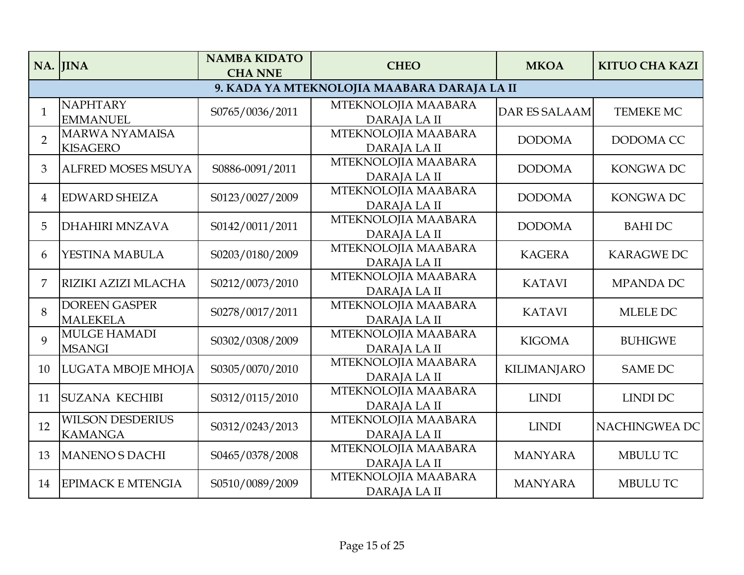|                | NA. JINA                                  | <b>NAMBA KIDATO</b><br><b>CHA NNE</b> | <b>CHEO</b>                                 | <b>MKOA</b>          | <b>KITUO CHA KAZI</b> |
|----------------|-------------------------------------------|---------------------------------------|---------------------------------------------|----------------------|-----------------------|
|                |                                           |                                       | 9. KADA YA MTEKNOLOJIA MAABARA DARAJA LA II |                      |                       |
| $\mathbf{1}$   | <b>NAPHTARY</b><br><b>EMMANUEL</b>        | S0765/0036/2011                       | MTEKNOLOJIA MAABARA<br>DARAJA LA II         | <b>DAR ES SALAAM</b> | <b>TEMEKE MC</b>      |
| $\overline{2}$ | <b>MARWA NYAMAISA</b><br><b>KISAGERO</b>  |                                       | MTEKNOLOJIA MAABARA<br>DARAJA LA II         | <b>DODOMA</b>        | DODOMA CC             |
| 3              | <b>ALFRED MOSES MSUYA</b>                 | S0886-0091/2011                       | MTEKNOLOJIA MAABARA<br>DARAJA LA II         | <b>DODOMA</b>        | <b>KONGWADC</b>       |
| 4              | <b>EDWARD SHEIZA</b>                      | S0123/0027/2009                       | MTEKNOLOJIA MAABARA<br>DARAJA LA II         | <b>DODOMA</b>        | <b>KONGWADC</b>       |
| 5              | <b>DHAHIRI MNZAVA</b>                     | S0142/0011/2011                       | MTEKNOLOJIA MAABARA<br>DARAJA LA II         | <b>DODOMA</b>        | <b>BAHIDC</b>         |
| 6              | YESTINA MABULA                            | S0203/0180/2009                       | MTEKNOLOJIA MAABARA<br>DARAJA LA II         | <b>KAGERA</b>        | <b>KARAGWE DC</b>     |
| 7              | RIZIKI AZIZI MLACHA                       | S0212/0073/2010                       | MTEKNOLOJIA MAABARA<br>DARAJA LA II         | <b>KATAVI</b>        | <b>MPANDA DC</b>      |
| 8              | <b>DOREEN GASPER</b><br><b>MALEKELA</b>   | S0278/0017/2011                       | MTEKNOLOJIA MAABARA<br>DARAJA LA II         | <b>KATAVI</b>        | <b>MLELE DC</b>       |
| 9              | <b>MULGE HAMADI</b><br><b>MSANGI</b>      | S0302/0308/2009                       | MTEKNOLOJIA MAABARA<br><b>DARAJALAII</b>    | <b>KIGOMA</b>        | <b>BUHIGWE</b>        |
| 10             | LUGATA MBOJE MHOJA                        | S0305/0070/2010                       | MTEKNOLOJIA MAABARA<br>DARAJA LA II         | <b>KILIMANJARO</b>   | <b>SAME DC</b>        |
| 11             | <b>SUZANA KECHIBI</b>                     | S0312/0115/2010                       | MTEKNOLOJIA MAABARA<br>DARAJA LA II         | <b>LINDI</b>         | <b>LINDI DC</b>       |
| 12             | <b>WILSON DESDERIUS</b><br><b>KAMANGA</b> | S0312/0243/2013                       | MTEKNOLOJIA MAABARA<br>DARAJA LA II         | <b>LINDI</b>         | NACHINGWEA DC         |
| 13             | <b>MANENO S DACHI</b>                     | S0465/0378/2008                       | MTEKNOLOJIA MAABARA<br>DARAJA LA II         | <b>MANYARA</b>       | <b>MBULU TC</b>       |
| 14             | <b>EPIMACK E MTENGIA</b>                  | S0510/0089/2009                       | MTEKNOLOJIA MAABARA<br>DARAJA LA II         | <b>MANYARA</b>       | <b>MBULU TC</b>       |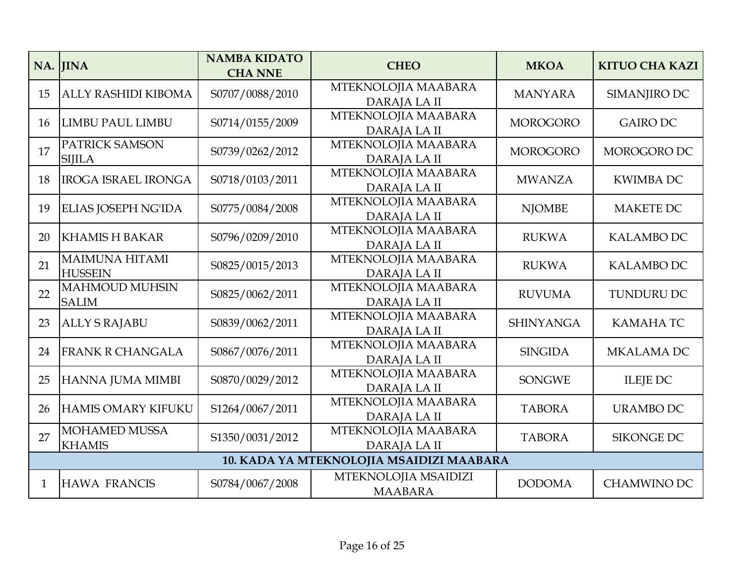|    | NA. JINA                                | <b>NAMBA KIDATO</b><br><b>CHA NNE</b> | <b>CHEO</b>                              | <b>MKOA</b>      | <b>KITUO CHA KAZI</b> |
|----|-----------------------------------------|---------------------------------------|------------------------------------------|------------------|-----------------------|
| 15 | <b>ALLY RASHIDI KIBOMA</b>              | S0707/0088/2010                       | MTEKNOLOJIA MAABARA<br><b>DARAJALAII</b> | <b>MANYARA</b>   | SIMANJIRO DC          |
| 16 | <b>LIMBU PAUL LIMBU</b>                 | S0714/0155/2009                       | MTEKNOLOJIA MAABARA<br>DARAJA LA II      | <b>MOROGORO</b>  | <b>GAIRO DC</b>       |
| 17 | PATRICK SAMSON<br><b>SIJILA</b>         | S0739/0262/2012                       | MTEKNOLOJIA MAABARA<br>DARAJA LA II      | <b>MOROGORO</b>  | MOROGORO DC           |
| 18 | <b>IROGA ISRAEL IRONGA</b>              | S0718/0103/2011                       | MTEKNOLOJIA MAABARA<br><b>DARAJALAII</b> | <b>MWANZA</b>    | <b>KWIMBA DC</b>      |
| 19 | ELIAS JOSEPH NG'IDA                     | S0775/0084/2008                       | MTEKNOLOJIA MAABARA<br>DARAJA LA II      | <b>NJOMBE</b>    | <b>MAKETE DC</b>      |
| 20 | <b>KHAMIS H BAKAR</b>                   | S0796/0209/2010                       | MTEKNOLOJIA MAABARA<br>DARAJA LA II      | <b>RUKWA</b>     | <b>KALAMBO DC</b>     |
| 21 | <b>MAIMUNA HITAMI</b><br><b>HUSSEIN</b> | S0825/0015/2013                       | MTEKNOLOJIA MAABARA<br>DARAJA LA II      | <b>RUKWA</b>     | <b>KALAMBO DC</b>     |
| 22 | <b>MAHMOUD MUHSIN</b><br><b>SALIM</b>   | S0825/0062/2011                       | MTEKNOLOJIA MAABARA<br>DARAJA LA II      | <b>RUVUMA</b>    | TUNDURU DC            |
| 23 | <b>ALLY S RAJABU</b>                    | S0839/0062/2011                       | MTEKNOLOJIA MAABARA<br>DARAJA LA II      | <b>SHINYANGA</b> | <b>KAMAHATC</b>       |
| 24 | <b>FRANK R CHANGALA</b>                 | S0867/0076/2011                       | MTEKNOLOJIA MAABARA<br>DARAJA LA II      | <b>SINGIDA</b>   | <b>MKALAMA DC</b>     |
| 25 | HANNA JUMA MIMBI                        | S0870/0029/2012                       | MTEKNOLOJIA MAABARA<br>DARAJA LA II      | <b>SONGWE</b>    | <b>ILEJE DC</b>       |
| 26 | <b>HAMIS OMARY KIFUKU</b>               | S1264/0067/2011                       | MTEKNOLOJIA MAABARA<br>DARAJA LA II      | <b>TABORA</b>    | <b>URAMBO DC</b>      |
| 27 | <b>MOHAMED MUSSA</b><br><b>KHAMIS</b>   | S1350/0031/2012                       | MTEKNOLOJIA MAABARA<br>DARAJA LA II      | <b>TABORA</b>    | <b>SIKONGE DC</b>     |
|    |                                         |                                       | 10. KADA YA MTEKNOLOJIA MSAIDIZI MAABARA |                  |                       |
| 1  | <b>HAWA FRANCIS</b>                     | S0784/0067/2008                       | MTEKNOLOJIA MSAIDIZI<br><b>MAABARA</b>   | <b>DODOMA</b>    | <b>CHAMWINO DC</b>    |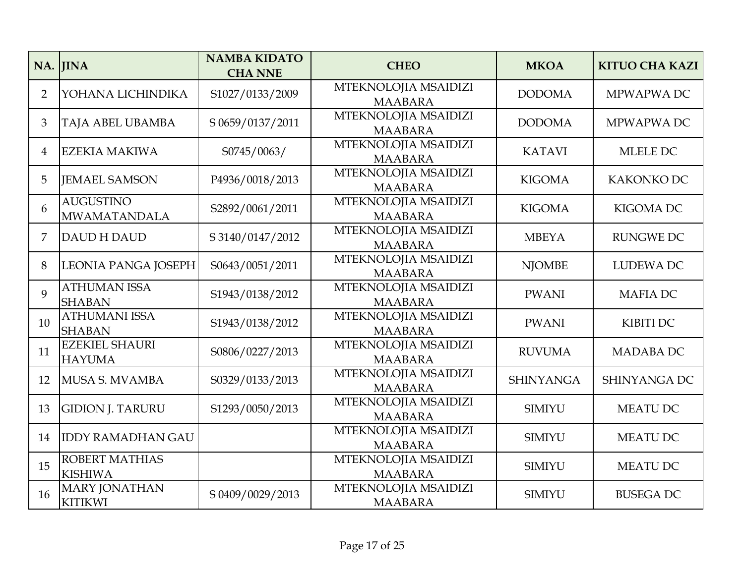|                | NA. JINA                                | <b>NAMBA KIDATO</b><br><b>CHA NNE</b> | <b>CHEO</b>                            | <b>MKOA</b>      | <b>KITUO CHA KAZI</b> |
|----------------|-----------------------------------------|---------------------------------------|----------------------------------------|------------------|-----------------------|
| $\overline{2}$ | YOHANA LICHINDIKA                       | S1027/0133/2009                       | MTEKNOLOJIA MSAIDIZI<br><b>MAABARA</b> | <b>DODOMA</b>    | MPWAPWA DC            |
| 3              | <b>TAJA ABEL UBAMBA</b>                 | S 0659/0137/2011                      | MTEKNOLOJIA MSAIDIZI<br><b>MAABARA</b> | <b>DODOMA</b>    | MPWAPWA DC            |
| $\overline{4}$ | <b>EZEKIA MAKIWA</b>                    | S0745/0063/                           | MTEKNOLOJIA MSAIDIZI<br><b>MAABARA</b> | <b>KATAVI</b>    | MLELE DC              |
| 5              | <b>JEMAEL SAMSON</b>                    | P4936/0018/2013                       | MTEKNOLOJIA MSAIDIZI<br><b>MAABARA</b> | <b>KIGOMA</b>    | KAKONKO DC            |
| 6              | <b>AUGUSTINO</b><br><b>MWAMATANDALA</b> | S2892/0061/2011                       | MTEKNOLOJIA MSAIDIZI<br><b>MAABARA</b> | <b>KIGOMA</b>    | <b>KIGOMA DC</b>      |
| 7              | <b>DAUD H DAUD</b>                      | S 3140/0147/2012                      | MTEKNOLOJIA MSAIDIZI<br><b>MAABARA</b> | <b>MBEYA</b>     | <b>RUNGWE DC</b>      |
| 8              | <b>LEONIA PANGA JOSEPH</b>              | S0643/0051/2011                       | MTEKNOLOJIA MSAIDIZI<br><b>MAABARA</b> | <b>NJOMBE</b>    | <b>LUDEWA DC</b>      |
| $\mathbf Q$    | <b>ATHUMAN ISSA</b><br><b>SHABAN</b>    | S1943/0138/2012                       | MTEKNOLOJIA MSAIDIZI<br><b>MAABARA</b> | <b>PWANI</b>     | <b>MAFIADC</b>        |
| 10             | <b>ATHUMANI ISSA</b><br><b>SHABAN</b>   | S1943/0138/2012                       | MTEKNOLOJIA MSAIDIZI<br><b>MAABARA</b> | <b>PWANI</b>     | <b>KIBITI DC</b>      |
| 11             | <b>EZEKIEL SHAURI</b><br><b>HAYUMA</b>  | S0806/0227/2013                       | MTEKNOLOJIA MSAIDIZI<br><b>MAABARA</b> | <b>RUVUMA</b>    | MADABA DC             |
| 12             | MUSA S. MVAMBA                          | S0329/0133/2013                       | MTEKNOLOJIA MSAIDIZI<br><b>MAABARA</b> | <b>SHINYANGA</b> | SHINYANGA DC          |
| 13             | <b>GIDION J. TARURU</b>                 | S1293/0050/2013                       | MTEKNOLOJIA MSAIDIZI<br><b>MAABARA</b> | <b>SIMIYU</b>    | <b>MEATU DC</b>       |
| 14             | <b>IDDY RAMADHAN GAU</b>                |                                       | MTEKNOLOJIA MSAIDIZI<br><b>MAABARA</b> | <b>SIMIYU</b>    | <b>MEATU DC</b>       |
| 15             | <b>ROBERT MATHIAS</b><br><b>KISHIWA</b> |                                       | MTEKNOLOJIA MSAIDIZI<br><b>MAABARA</b> | <b>SIMIYU</b>    | <b>MEATU DC</b>       |
| 16             | <b>MARY JONATHAN</b><br><b>KITIKWI</b>  | S 0409/0029/2013                      | MTEKNOLOJIA MSAIDIZI<br><b>MAABARA</b> | <b>SIMIYU</b>    | <b>BUSEGA DC</b>      |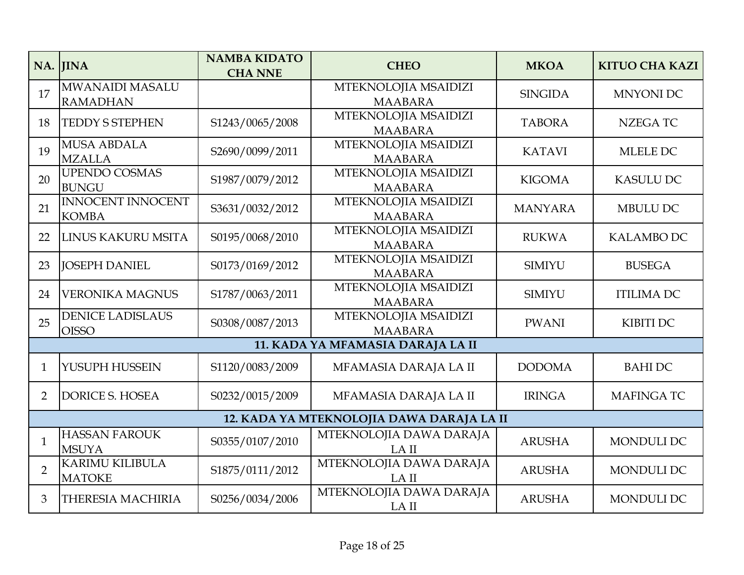|                | NA. JINA                                  | <b>NAMBA KIDATO</b><br><b>CHA NNE</b> | <b>CHEO</b>                            | <b>MKOA</b>    | <b>KITUO CHA KAZI</b> |  |  |  |
|----------------|-------------------------------------------|---------------------------------------|----------------------------------------|----------------|-----------------------|--|--|--|
| 17             | <b>MWANAIDI MASALU</b><br><b>RAMADHAN</b> |                                       | MTEKNOLOJIA MSAIDIZI<br><b>MAABARA</b> | <b>SINGIDA</b> | <b>MNYONI DC</b>      |  |  |  |
| 18             | <b>TEDDY S STEPHEN</b>                    | S1243/0065/2008                       | MTEKNOLOJIA MSAIDIZI<br><b>MAABARA</b> | <b>TABORA</b>  | <b>NZEGATC</b>        |  |  |  |
| 19             | <b>MUSA ABDALA</b><br><b>MZALLA</b>       | S2690/0099/2011                       | MTEKNOLOJIA MSAIDIZI<br><b>MAABARA</b> | <b>KATAVI</b>  | MLELE DC              |  |  |  |
| 20             | <b>UPENDO COSMAS</b><br><b>BUNGU</b>      | S1987/0079/2012                       | MTEKNOLOJIA MSAIDIZI<br><b>MAABARA</b> | <b>KIGOMA</b>  | <b>KASULU DC</b>      |  |  |  |
| 21             | <b>INNOCENT INNOCENT</b><br><b>KOMBA</b>  | S3631/0032/2012                       | MTEKNOLOJIA MSAIDIZI<br><b>MAABARA</b> | <b>MANYARA</b> | <b>MBULU DC</b>       |  |  |  |
| 22             | LINUS KAKURU MSITA                        | S0195/0068/2010                       | MTEKNOLOJIA MSAIDIZI<br><b>MAABARA</b> | <b>RUKWA</b>   | <b>KALAMBO DC</b>     |  |  |  |
| 23             | <b>JOSEPH DANIEL</b>                      | S0173/0169/2012                       | MTEKNOLOJIA MSAIDIZI<br><b>MAABARA</b> | <b>SIMIYU</b>  | <b>BUSEGA</b>         |  |  |  |
| 24             | <b>VERONIKA MAGNUS</b>                    | S1787/0063/2011                       | MTEKNOLOJIA MSAIDIZI<br><b>MAABARA</b> | <b>SIMIYU</b>  | <b>ITILIMA DC</b>     |  |  |  |
| 25             | <b>DENICE LADISLAUS</b><br><b>OISSO</b>   | S0308/0087/2013                       | MTEKNOLOJIA MSAIDIZI<br><b>MAABARA</b> | <b>PWANI</b>   | KIBITI DC             |  |  |  |
|                |                                           |                                       | 11. KADA YA MFAMASIA DARAJA LA II      |                |                       |  |  |  |
| $\mathbf{1}$   | YUSUPH HUSSEIN                            | S1120/0083/2009                       | MFAMASIA DARAJA LA II                  | <b>DODOMA</b>  | <b>BAHIDC</b>         |  |  |  |
| $\overline{2}$ | <b>DORICE S. HOSEA</b>                    | S0232/0015/2009                       | MFAMASIA DARAJA LA II                  | <b>IRINGA</b>  | <b>MAFINGATC</b>      |  |  |  |
|                | 12. KADA YA MTEKNOLOJIA DAWA DARAJA LA II |                                       |                                        |                |                       |  |  |  |
| $\mathbf{1}$   | <b>HASSAN FAROUK</b><br><b>MSUYA</b>      | S0355/0107/2010                       | MTEKNOLOJIA DAWA DARAJA<br>LA II       | <b>ARUSHA</b>  | <b>MONDULI DC</b>     |  |  |  |
| $\overline{2}$ | <b>KARIMU KILIBULA</b><br><b>MATOKE</b>   | S1875/0111/2012                       | MTEKNOLOJIA DAWA DARAJA<br>LA II       | <b>ARUSHA</b>  | MONDULI DC            |  |  |  |
| 3              | <b>THERESIA MACHIRIA</b>                  | S0256/0034/2006                       | MTEKNOLOJIA DAWA DARAJA<br>LA II       | <b>ARUSHA</b>  | MONDULI DC            |  |  |  |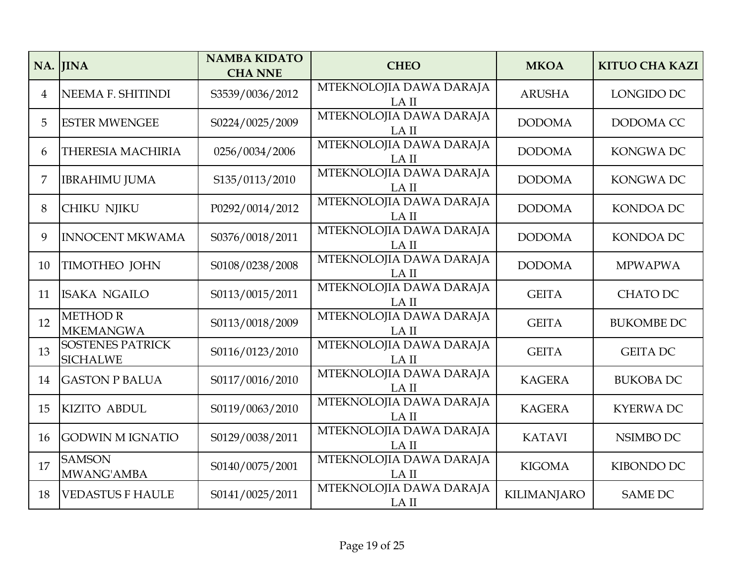|                | NA. JINA                                   | <b>NAMBA KIDATO</b><br><b>CHA NNE</b> | <b>CHEO</b>                      | <b>MKOA</b>        | <b>KITUO CHA KAZI</b> |
|----------------|--------------------------------------------|---------------------------------------|----------------------------------|--------------------|-----------------------|
| $\overline{4}$ | NEEMA F. SHITINDI                          | S3539/0036/2012                       | MTEKNOLOJIA DAWA DARAJA<br>LA II | <b>ARUSHA</b>      | LONGIDO DC            |
| 5              | <b>ESTER MWENGEE</b>                       | S0224/0025/2009                       | MTEKNOLOJIA DAWA DARAJA<br>LA II | <b>DODOMA</b>      | DODOMA CC             |
| 6              | <b>THERESIA MACHIRIA</b>                   | 0256/0034/2006                        | MTEKNOLOJIA DAWA DARAJA<br>LA II | <b>DODOMA</b>      | <b>KONGWADC</b>       |
| 7              | <b>IBRAHIMU JUMA</b>                       | S135/0113/2010                        | MTEKNOLOJIA DAWA DARAJA<br>LA II | <b>DODOMA</b>      | <b>KONGWADC</b>       |
| 8              | <b>CHIKU NJIKU</b>                         | P0292/0014/2012                       | MTEKNOLOJIA DAWA DARAJA<br>LA II | <b>DODOMA</b>      | KONDOA DC             |
| 9              | <b>INNOCENT MKWAMA</b>                     | S0376/0018/2011                       | MTEKNOLOJIA DAWA DARAJA<br>LA II | <b>DODOMA</b>      | <b>KONDOA DC</b>      |
| 10             | <b>TIMOTHEO JOHN</b>                       | S0108/0238/2008                       | MTEKNOLOJIA DAWA DARAJA<br>LA II | <b>DODOMA</b>      | <b>MPWAPWA</b>        |
| 11             | <b>ISAKA NGAILO</b>                        | S0113/0015/2011                       | MTEKNOLOJIA DAWA DARAJA<br>LA II | <b>GEITA</b>       | <b>CHATO DC</b>       |
| 12             | <b>METHOD R</b><br><b>MKEMANGWA</b>        | S0113/0018/2009                       | MTEKNOLOJIA DAWA DARAJA<br>LA II | <b>GEITA</b>       | <b>BUKOMBE DC</b>     |
| 13             | <b>SOSTENES PATRICK</b><br><b>SICHALWE</b> | S0116/0123/2010                       | MTEKNOLOJIA DAWA DARAJA<br>LA II | <b>GEITA</b>       | <b>GEITA DC</b>       |
| 14             | <b>GASTON P BALUA</b>                      | S0117/0016/2010                       | MTEKNOLOJIA DAWA DARAJA<br>LA II | <b>KAGERA</b>      | <b>BUKOBA DC</b>      |
| 15             | <b>KIZITO ABDUL</b>                        | S0119/0063/2010                       | MTEKNOLOJIA DAWA DARAJA<br>LA II | <b>KAGERA</b>      | <b>KYERWADC</b>       |
| 16             | <b>GODWIN M IGNATIO</b>                    | S0129/0038/2011                       | MTEKNOLOJIA DAWA DARAJA<br>LA II | <b>KATAVI</b>      | NSIMBO DC             |
| 17             | <b>SAMSON</b><br>MWANG'AMBA                | S0140/0075/2001                       | MTEKNOLOJIA DAWA DARAJA<br>LA II | <b>KIGOMA</b>      | KIBONDO DC            |
| 18             | <b>VEDASTUS F HAULE</b>                    | S0141/0025/2011                       | MTEKNOLOJIA DAWA DARAJA<br>LA II | <b>KILIMANJARO</b> | <b>SAME DC</b>        |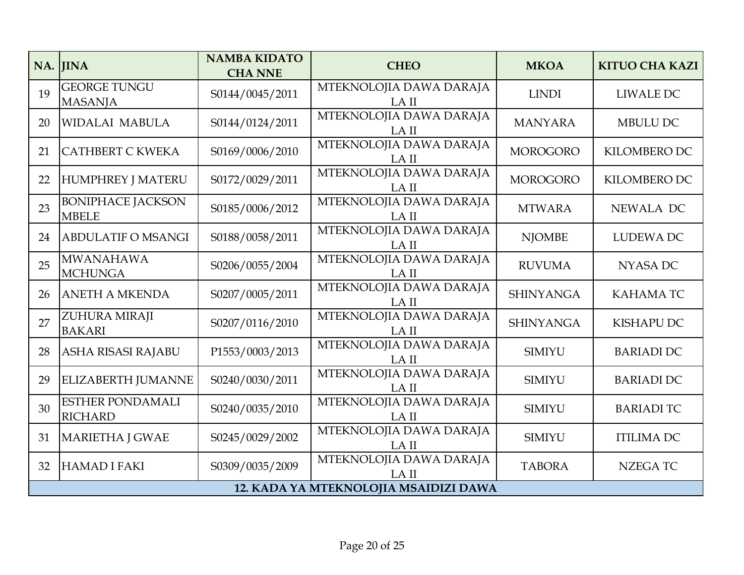|    | NA. JINA                                  | <b>NAMBA KIDATO</b><br><b>CHA NNE</b> | <b>CHEO</b>                           | <b>MKOA</b>      | <b>KITUO CHA KAZI</b> |
|----|-------------------------------------------|---------------------------------------|---------------------------------------|------------------|-----------------------|
| 19 | <b>GEORGE TUNGU</b><br><b>MASANJA</b>     | S0144/0045/2011                       | MTEKNOLOJIA DAWA DARAJA<br>LA II      | <b>LINDI</b>     | <b>LIWALE DC</b>      |
| 20 | <b>WIDALAI MABULA</b>                     | S0144/0124/2011                       | MTEKNOLOJIA DAWA DARAJA<br>LA II      | <b>MANYARA</b>   | MBULU DC              |
| 21 | CATHBERT C KWEKA                          | S0169/0006/2010                       | MTEKNOLOJIA DAWA DARAJA<br>LA II      | <b>MOROGORO</b>  | KILOMBERO DC          |
| 22 | <b>HUMPHREY J MATERU</b>                  | S0172/0029/2011                       | MTEKNOLOJIA DAWA DARAJA<br>LA II      | <b>MOROGORO</b>  | KILOMBERO DC          |
| 23 | <b>BONIPHACE JACKSON</b><br><b>MBELE</b>  | S0185/0006/2012                       | MTEKNOLOJIA DAWA DARAJA<br>LA II      | <b>MTWARA</b>    | NEWALA DC             |
| 24 | <b>ABDULATIF O MSANGI</b>                 | S0188/0058/2011                       | MTEKNOLOJIA DAWA DARAJA<br>LA II      | <b>NJOMBE</b>    | LUDEWA DC             |
| 25 | <b>MWANAHAWA</b><br><b>MCHUNGA</b>        | S0206/0055/2004                       | MTEKNOLOJIA DAWA DARAJA<br>LA II      | <b>RUVUMA</b>    | <b>NYASA DC</b>       |
| 26 | <b>ANETH A MKENDA</b>                     | S0207/0005/2011                       | MTEKNOLOJIA DAWA DARAJA<br>LA II      | <b>SHINYANGA</b> | <b>KAHAMATC</b>       |
| 27 | ZUHURA MIRAJI<br><b>BAKARI</b>            | S0207/0116/2010                       | MTEKNOLOJIA DAWA DARAJA<br>LA II      | <b>SHINYANGA</b> | <b>KISHAPU DC</b>     |
| 28 | <b>ASHA RISASI RAJABU</b>                 | P1553/0003/2013                       | MTEKNOLOJIA DAWA DARAJA<br>LA II      | <b>SIMIYU</b>    | <b>BARIADI DC</b>     |
| 29 | <b>ELIZABERTH JUMANNE</b>                 | S0240/0030/2011                       | MTEKNOLOJIA DAWA DARAJA<br>LA II      | <b>SIMIYU</b>    | <b>BARIADI DC</b>     |
| 30 | <b>ESTHER PONDAMALI</b><br><b>RICHARD</b> | S0240/0035/2010                       | MTEKNOLOJIA DAWA DARAJA<br>LA II      | <b>SIMIYU</b>    | <b>BARIADI TC</b>     |
| 31 | <b>MARIETHA J GWAE</b>                    | S0245/0029/2002                       | MTEKNOLOJIA DAWA DARAJA<br>LA II      | <b>SIMIYU</b>    | <b>ITILIMA DC</b>     |
| 32 | HAMAD I FAKI                              | S0309/0035/2009                       | MTEKNOLOJIA DAWA DARAJA<br>LA II      | <b>TABORA</b>    | <b>NZEGATC</b>        |
|    |                                           |                                       | 12. KADA YA MTEKNOLOJIA MSAIDIZI DAWA |                  |                       |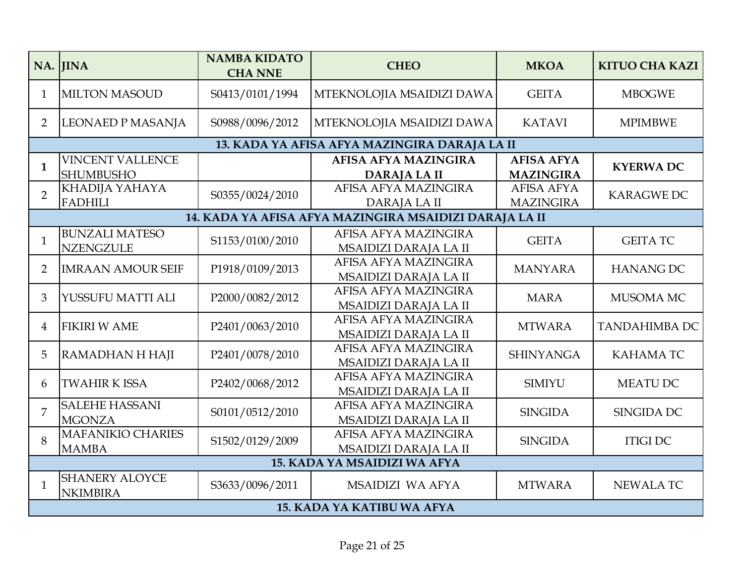|                | NA. JINA                                    | <b>NAMBA KIDATO</b><br><b>CHA NNE</b> | <b>CHEO</b>                                            | <b>MKOA</b>                           | <b>KITUO CHA KAZI</b> |
|----------------|---------------------------------------------|---------------------------------------|--------------------------------------------------------|---------------------------------------|-----------------------|
| $\mathbf{1}$   | <b>MILTON MASOUD</b>                        | S0413/0101/1994                       | MTEKNOLOJIA MSAIDIZI DAWA                              | <b>GEITA</b>                          | <b>MBOGWE</b>         |
| $\overline{2}$ | LEONAED P MASANJA                           | S0988/0096/2012                       | MTEKNOLOJIA MSAIDIZI DAWA                              | <b>KATAVI</b>                         | <b>MPIMBWE</b>        |
|                |                                             |                                       | 13. KADA YA AFISA AFYA MAZINGIRA DARAJA LA II          |                                       |                       |
| $\mathbf{1}$   | <b>VINCENT VALLENCE</b><br><b>SHUMBUSHO</b> |                                       | <b>AFISA AFYA MAZINGIRA</b><br><b>DARAJALAII</b>       | <b>AFISA AFYA</b><br><b>MAZINGIRA</b> | <b>KYERWADC</b>       |
| $\overline{2}$ | KHADIJA YAHAYA<br><b>FADHILI</b>            | S0355/0024/2010                       | AFISA AFYA MAZINGIRA<br>DARAJA LA II                   | <b>AFISA AFYA</b><br><b>MAZINGIRA</b> | <b>KARAGWE DC</b>     |
|                |                                             |                                       | 14. KADA YA AFISA AFYA MAZINGIRA MSAIDIZI DARAJA LA II |                                       |                       |
| $\mathbf{1}$   | <b>BUNZALI MATESO</b><br><b>NZENGZULE</b>   | S1153/0100/2010                       | AFISA AFYA MAZINGIRA<br>MSAIDIZI DARAJA LA II          | <b>GEITA</b>                          | <b>GEITA TC</b>       |
| $\overline{2}$ | <b>IMRAAN AMOUR SEIF</b>                    | P1918/0109/2013                       | AFISA AFYA MAZINGIRA<br>MSAIDIZI DARAJA LA II          | <b>MANYARA</b>                        | <b>HANANG DC</b>      |
| 3              | YUSSUFU MATTI ALI                           | P2000/0082/2012                       | AFISA AFYA MAZINGIRA<br>MSAIDIZI DARAJA LA II          | <b>MARA</b>                           | MUSOMA MC             |
| $\overline{4}$ | <b>FIKIRI W AME</b>                         | P2401/0063/2010                       | AFISA AFYA MAZINGIRA<br>MSAIDIZI DARAJA LA II          | <b>MTWARA</b>                         | <b>TANDAHIMBA DC</b>  |
| 5              | RAMADHAN H HAJI                             | P2401/0078/2010                       | AFISA AFYA MAZINGIRA<br>MSAIDIZI DARAJA LA II          | <b>SHINYANGA</b>                      | <b>KAHAMATC</b>       |
| 6              | <b>TWAHIR K ISSA</b>                        | P2402/0068/2012                       | AFISA AFYA MAZINGIRA<br>MSAIDIZI DARAJA LA II          | <b>SIMIYU</b>                         | <b>MEATU DC</b>       |
| 7              | <b>SALEHE HASSANI</b><br><b>MGONZA</b>      | S0101/0512/2010                       | AFISA AFYA MAZINGIRA<br>MSAIDIZI DARAJA LA II          | <b>SINGIDA</b>                        | <b>SINGIDA DC</b>     |
| 8              | <b>MAFANIKIO CHARIES</b><br><b>MAMBA</b>    | S1502/0129/2009                       | AFISA AFYA MAZINGIRA<br>MSAIDIZI DARAJA LA II          | <b>SINGIDA</b>                        | <b>ITIGIDC</b>        |
|                |                                             |                                       | 15. KADA YA MSAIDIZI WA AFYA                           |                                       |                       |
| $\mathbf{1}$   | <b>SHANERY ALOYCE</b><br><b>NKIMBIRA</b>    | S3633/0096/2011                       | MSAIDIZI WA AFYA                                       | <b>MTWARA</b>                         | <b>NEWALATC</b>       |
|                |                                             |                                       | <b>15. KADA YA KATIBU WA AFYA</b>                      |                                       |                       |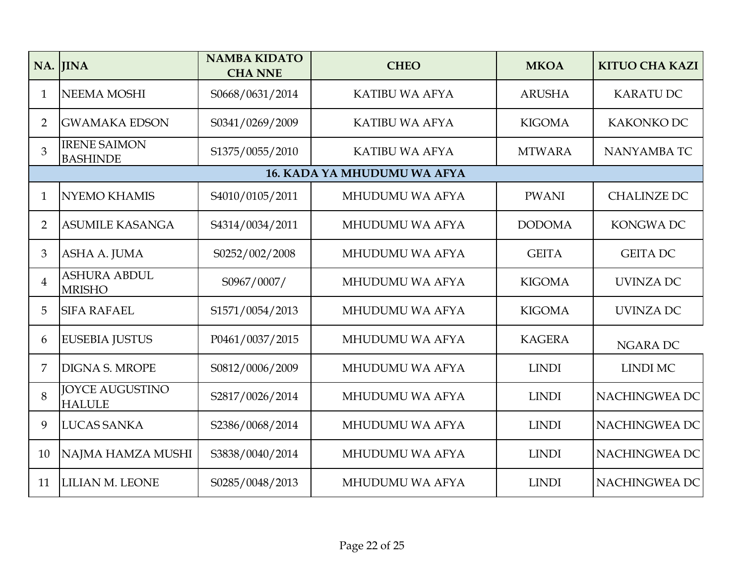|                | NA. JINA                                | <b>NAMBA KIDATO</b><br><b>CHA NNE</b> | <b>CHEO</b>                 | <b>MKOA</b>   | <b>KITUO CHA KAZI</b> |
|----------------|-----------------------------------------|---------------------------------------|-----------------------------|---------------|-----------------------|
| 1              | <b>NEEMA MOSHI</b>                      | S0668/0631/2014                       | <b>KATIBU WA AFYA</b>       | <b>ARUSHA</b> | <b>KARATU DC</b>      |
| $\overline{2}$ | <b>GWAMAKA EDSON</b>                    | S0341/0269/2009                       | <b>KATIBU WA AFYA</b>       | <b>KIGOMA</b> | <b>KAKONKO DC</b>     |
| 3              | <b>IRENE SAIMON</b><br><b>BASHINDE</b>  | S1375/0055/2010                       | <b>KATIBU WA AFYA</b>       | <b>MTWARA</b> | NANYAMBA TC           |
|                |                                         |                                       | 16. KADA YA MHUDUMU WA AFYA |               |                       |
| $\mathbf{1}$   | <b>NYEMO KHAMIS</b>                     | S4010/0105/2011                       | MHUDUMU WA AFYA             | <b>PWANI</b>  | <b>CHALINZE DC</b>    |
| $\overline{2}$ | <b>ASUMILE KASANGA</b>                  | S4314/0034/2011                       | MHUDUMU WA AFYA             | <b>DODOMA</b> | <b>KONGWADC</b>       |
| 3              | ASHA A. JUMA                            | S0252/002/2008                        | <b>MHUDUMU WA AFYA</b>      | <b>GEITA</b>  | <b>GEITA DC</b>       |
| $\overline{4}$ | <b>ASHURA ABDUL</b><br><b>MRISHO</b>    | S0967/0007/                           | MHUDUMU WA AFYA             | <b>KIGOMA</b> | <b>UVINZA DC</b>      |
| 5              | <b>SIFA RAFAEL</b>                      | S1571/0054/2013                       | MHUDUMU WA AFYA             | <b>KIGOMA</b> | UVINZA DC             |
| 6              | <b>EUSEBIA JUSTUS</b>                   | P0461/0037/2015                       | MHUDUMU WA AFYA             | <b>KAGERA</b> | <b>NGARA DC</b>       |
| 7              | <b>DIGNA S. MROPE</b>                   | S0812/0006/2009                       | MHUDUMU WA AFYA             | <b>LINDI</b>  | <b>LINDI MC</b>       |
| 8              | <b>JOYCE AUGUSTINO</b><br><b>HALULE</b> | S2817/0026/2014                       | MHUDUMU WA AFYA             | <b>LINDI</b>  | NACHINGWEA DC         |
| 9              | <b>LUCAS SANKA</b>                      | S2386/0068/2014                       | MHUDUMU WA AFYA             | <b>LINDI</b>  | NACHINGWEA DC         |
| 10             | NAJMA HAMZA MUSHI                       | S3838/0040/2014                       | MHUDUMU WA AFYA             | <b>LINDI</b>  | NACHINGWEA DC         |
| 11             | LILIAN M. LEONE                         | S0285/0048/2013                       | MHUDUMU WA AFYA             | <b>LINDI</b>  | NACHINGWEA DC         |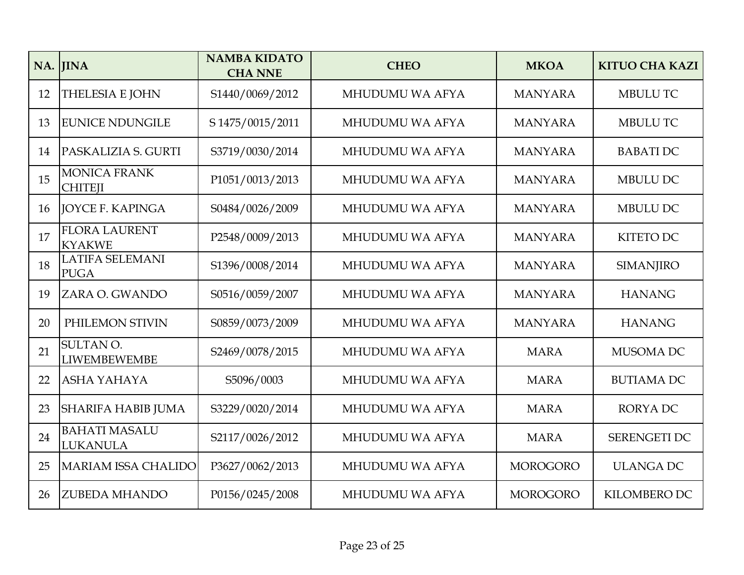|    | NA. JINA                                | <b>NAMBA KIDATO</b><br><b>CHA NNE</b> | <b>CHEO</b>     | <b>MKOA</b>     | <b>KITUO CHA KAZI</b> |
|----|-----------------------------------------|---------------------------------------|-----------------|-----------------|-----------------------|
| 12 | <b>THELESIA E JOHN</b>                  | S1440/0069/2012                       | MHUDUMU WA AFYA | <b>MANYARA</b>  | <b>MBULU TC</b>       |
| 13 | <b>EUNICE NDUNGILE</b>                  | S 1475/0015/2011                      | MHUDUMU WA AFYA | <b>MANYARA</b>  | MBULU TC              |
| 14 | PASKALIZIA S. GURTI                     | S3719/0030/2014                       | MHUDUMU WA AFYA | <b>MANYARA</b>  | <b>BABATIDC</b>       |
| 15 | <b>MONICA FRANK</b><br><b>CHITEJI</b>   | P1051/0013/2013                       | MHUDUMU WA AFYA | <b>MANYARA</b>  | MBULU DC              |
| 16 | <b>JOYCE F. KAPINGA</b>                 | S0484/0026/2009                       | MHUDUMU WA AFYA | <b>MANYARA</b>  | <b>MBULU DC</b>       |
| 17 | <b>FLORA LAURENT</b><br><b>KYAKWE</b>   | P2548/0009/2013                       | MHUDUMU WA AFYA | <b>MANYARA</b>  | <b>KITETO DC</b>      |
| 18 | <b>LATIFA SELEMANI</b><br><b>PUGA</b>   | S1396/0008/2014                       | MHUDUMU WA AFYA | <b>MANYARA</b>  | <b>SIMANJIRO</b>      |
| 19 | ZARA O. GWANDO                          | S0516/0059/2007                       | MHUDUMU WA AFYA | <b>MANYARA</b>  | <b>HANANG</b>         |
| 20 | PHILEMON STIVIN                         | S0859/0073/2009                       | MHUDUMU WA AFYA | <b>MANYARA</b>  | <b>HANANG</b>         |
| 21 | SULTAN O.<br><b>LIWEMBEWEMBE</b>        | S2469/0078/2015                       | MHUDUMU WA AFYA | <b>MARA</b>     | MUSOMA DC             |
| 22 | ASHA YAHAYA                             | S5096/0003                            | MHUDUMU WA AFYA | <b>MARA</b>     | <b>BUTIAMA DC</b>     |
| 23 | <b>SHARIFA HABIB JUMA</b>               | S3229/0020/2014                       | MHUDUMU WA AFYA | <b>MARA</b>     | <b>RORYADC</b>        |
| 24 | <b>BAHATI MASALU</b><br><b>LUKANULA</b> | S2117/0026/2012                       | MHUDUMU WA AFYA | <b>MARA</b>     | SERENGETI DC          |
| 25 | <b>MARIAM ISSA CHALIDO</b>              | P3627/0062/2013                       | MHUDUMU WA AFYA | <b>MOROGORO</b> | <b>ULANGA DC</b>      |
| 26 | <b>ZUBEDA MHANDO</b>                    | P0156/0245/2008                       | MHUDUMU WA AFYA | <b>MOROGORO</b> | KILOMBERO DC          |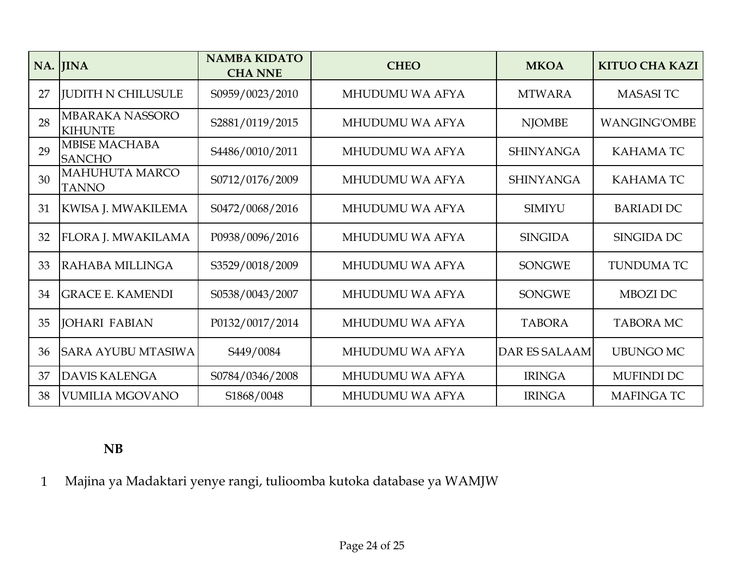|    | NA. JINA                                 | <b>NAMBA KIDATO</b><br><b>CHA NNE</b> | <b>CHEO</b>            | <b>MKOA</b>          | <b>KITUO CHA KAZI</b> |
|----|------------------------------------------|---------------------------------------|------------------------|----------------------|-----------------------|
| 27 | <b>JUDITH N CHILUSULE</b>                | S0959/0023/2010                       | MHUDUMU WA AFYA        | <b>MTWARA</b>        | <b>MASASITC</b>       |
| 28 | <b>MBARAKA NASSORO</b><br><b>KIHUNTE</b> | S2881/0119/2015                       | MHUDUMU WA AFYA        | <b>NJOMBE</b>        | <b>WANGING'OMBE</b>   |
| 29 | <b>MBISE MACHABA</b><br><b>SANCHO</b>    | S4486/0010/2011                       | MHUDUMU WA AFYA        | <b>SHINYANGA</b>     | <b>KAHAMATC</b>       |
| 30 | <b>MAHUHUTA MARCO</b><br><b>TANNO</b>    | S0712/0176/2009                       | MHUDUMU WA AFYA        | <b>SHINYANGA</b>     | <b>KAHAMATC</b>       |
| 31 | KWISA J. MWAKILEMA                       | S0472/0068/2016                       | MHUDUMU WA AFYA        | <b>SIMIYU</b>        | <b>BARIADI DC</b>     |
| 32 | <b>FLORA J. MWAKILAMA</b>                | P0938/0096/2016                       | <b>MHUDUMU WA AFYA</b> | <b>SINGIDA</b>       | SINGIDA DC            |
| 33 | IRAHABA MILLINGA                         | S3529/0018/2009                       | <b>MHUDUMU WA AFYA</b> | <b>SONGWE</b>        | <b>TUNDUMA TC</b>     |
| 34 | <b>IGRACE E. KAMENDI</b>                 | S0538/0043/2007                       | <b>MHUDUMU WA AFYA</b> | <b>SONGWE</b>        | MBOZI DC              |
| 35 | <b>JOHARI FABIAN</b>                     | P0132/0017/2014                       | <b>MHUDUMU WA AFYA</b> | <b>TABORA</b>        | <b>TABORA MC</b>      |
| 36 | <b>SARA AYUBU MTASIWA</b>                | S449/0084                             | <b>MHUDUMU WA AFYA</b> | <b>DAR ES SALAAM</b> | <b>UBUNGO MC</b>      |
| 37 | <b>DAVIS KALENGA</b>                     | S0784/0346/2008                       | <b>MHUDUMU WA AFYA</b> | <b>IRINGA</b>        | MUFINDI DC            |
| 38 | <b>VUMILIA MGOVANO</b>                   | S1868/0048                            | MHUDUMU WA AFYA        | <b>IRINGA</b>        | <b>MAFINGATC</b>      |

## **NB**

1 Majina ya Madaktari yenye rangi, tulioomba kutoka database ya WAMJW